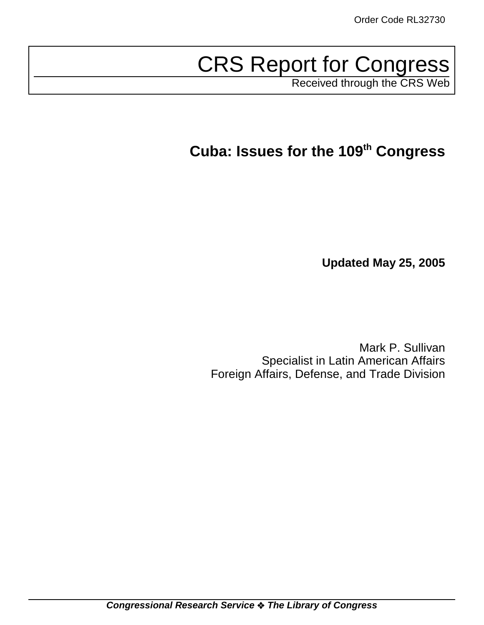# CRS Report for Congress

Received through the CRS Web

# **Cuba: Issues for the 109th Congress**

**Updated May 25, 2005**

Mark P. Sullivan Specialist in Latin American Affairs Foreign Affairs, Defense, and Trade Division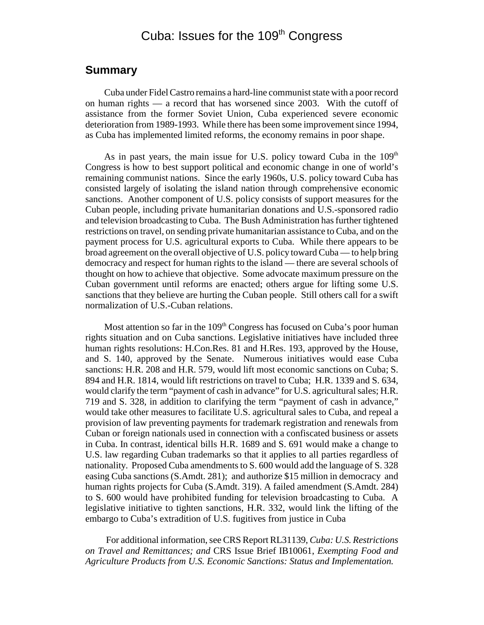# Cuba: Issues for the 109<sup>th</sup> Congress

# **Summary**

Cuba under Fidel Castro remains a hard-line communist state with a poor record on human rights — a record that has worsened since 2003. With the cutoff of assistance from the former Soviet Union, Cuba experienced severe economic deterioration from 1989-1993. While there has been some improvement since 1994, as Cuba has implemented limited reforms, the economy remains in poor shape.

As in past years, the main issue for U.S. policy toward Cuba in the 109<sup>th</sup> Congress is how to best support political and economic change in one of world's remaining communist nations. Since the early 1960s, U.S. policy toward Cuba has consisted largely of isolating the island nation through comprehensive economic sanctions. Another component of U.S. policy consists of support measures for the Cuban people, including private humanitarian donations and U.S.-sponsored radio and television broadcasting to Cuba. The Bush Administration has further tightened restrictions on travel, on sending private humanitarian assistance to Cuba, and on the payment process for U.S. agricultural exports to Cuba. While there appears to be broad agreement on the overall objective of U.S. policy toward Cuba — to help bring democracy and respect for human rights to the island — there are several schools of thought on how to achieve that objective. Some advocate maximum pressure on the Cuban government until reforms are enacted; others argue for lifting some U.S. sanctions that they believe are hurting the Cuban people. Still others call for a swift normalization of U.S.-Cuban relations.

Most attention so far in the  $109<sup>th</sup>$  Congress has focused on Cuba's poor human rights situation and on Cuba sanctions. Legislative initiatives have included three human rights resolutions: H.Con.Res. 81 and H.Res. 193, approved by the House, and S. 140, approved by the Senate. Numerous initiatives would ease Cuba sanctions: H.R. 208 and H.R. 579, would lift most economic sanctions on Cuba; S. 894 and H.R. 1814, would lift restrictions on travel to Cuba; H.R. 1339 and S. 634, would clarify the term "payment of cash in advance" for U.S. agricultural sales; H.R. 719 and S. 328, in addition to clarifying the term "payment of cash in advance," would take other measures to facilitate U.S. agricultural sales to Cuba, and repeal a provision of law preventing payments for trademark registration and renewals from Cuban or foreign nationals used in connection with a confiscated business or assets in Cuba. In contrast, identical bills H.R. 1689 and S. 691 would make a change to U.S. law regarding Cuban trademarks so that it applies to all parties regardless of nationality. Proposed Cuba amendments to S. 600 would add the language of S. 328 easing Cuba sanctions (S.Amdt. 281); and authorize \$15 million in democracy and human rights projects for Cuba (S.Amdt. 319). A failed amendment (S.Amdt. 284) to S. 600 would have prohibited funding for television broadcasting to Cuba. A legislative initiative to tighten sanctions, H.R. 332, would link the lifting of the embargo to Cuba's extradition of U.S. fugitives from justice in Cuba

 For additional information, see CRS Report RL31139, *Cuba: U.S. Restrictions on Travel and Remittances; and* CRS Issue Brief IB10061, *Exempting Food and Agriculture Products from U.S. Economic Sanctions: Status and Implementation.*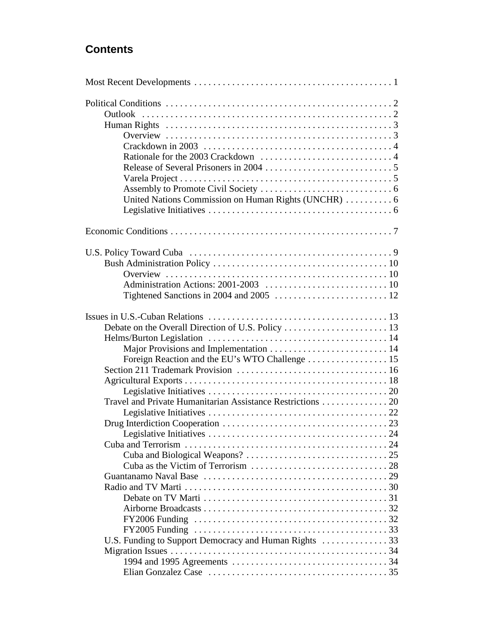# **Contents**

| United Nations Commission on Human Rights (UNCHR)  6       |  |
|------------------------------------------------------------|--|
|                                                            |  |
|                                                            |  |
|                                                            |  |
|                                                            |  |
|                                                            |  |
|                                                            |  |
|                                                            |  |
|                                                            |  |
|                                                            |  |
|                                                            |  |
|                                                            |  |
|                                                            |  |
| Foreign Reaction and the EU's WTO Challenge 15             |  |
|                                                            |  |
|                                                            |  |
|                                                            |  |
| Travel and Private Humanitarian Assistance Restrictions 20 |  |
|                                                            |  |
|                                                            |  |
|                                                            |  |
|                                                            |  |
|                                                            |  |
|                                                            |  |
|                                                            |  |
|                                                            |  |
|                                                            |  |
|                                                            |  |
|                                                            |  |
|                                                            |  |
|                                                            |  |
|                                                            |  |
|                                                            |  |
|                                                            |  |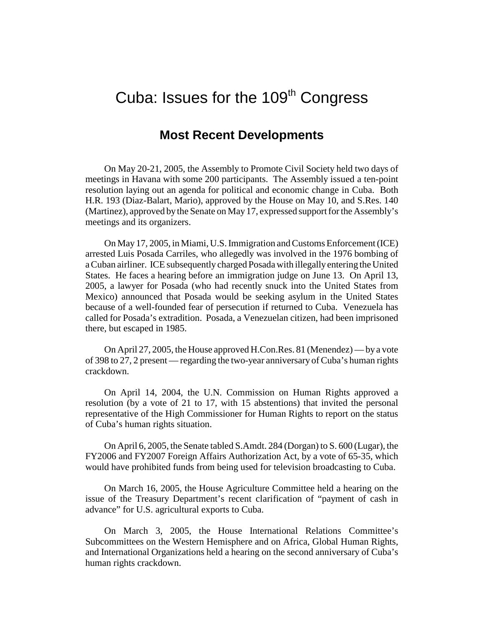# Cuba: Issues for the  $109<sup>th</sup>$  Congress

# **Most Recent Developments**

On May 20-21, 2005, the Assembly to Promote Civil Society held two days of meetings in Havana with some 200 participants. The Assembly issued a ten-point resolution laying out an agenda for political and economic change in Cuba. Both H.R. 193 (Diaz-Balart, Mario), approved by the House on May 10, and S.Res. 140 (Martinez), approved by the Senate on May 17, expressed support for the Assembly's meetings and its organizers.

On May 17, 2005, in Miami, U.S. Immigration and Customs Enforcement (ICE) arrested Luis Posada Carriles, who allegedly was involved in the 1976 bombing of a Cuban airliner. ICE subsequently charged Posada with illegally entering the United States. He faces a hearing before an immigration judge on June 13. On April 13, 2005, a lawyer for Posada (who had recently snuck into the United States from Mexico) announced that Posada would be seeking asylum in the United States because of a well-founded fear of persecution if returned to Cuba. Venezuela has called for Posada's extradition. Posada, a Venezuelan citizen, had been imprisoned there, but escaped in 1985.

On April 27, 2005, the House approved H.Con.Res. 81 (Menendez) — by a vote of 398 to 27, 2 present — regarding the two-year anniversary of Cuba's human rights crackdown.

On April 14, 2004, the U.N. Commission on Human Rights approved a resolution (by a vote of 21 to 17, with 15 abstentions) that invited the personal representative of the High Commissioner for Human Rights to report on the status of Cuba's human rights situation.

On April 6, 2005, the Senate tabled S.Amdt. 284 (Dorgan) to S. 600 (Lugar), the FY2006 and FY2007 Foreign Affairs Authorization Act, by a vote of 65-35, which would have prohibited funds from being used for television broadcasting to Cuba.

On March 16, 2005, the House Agriculture Committee held a hearing on the issue of the Treasury Department's recent clarification of "payment of cash in advance" for U.S. agricultural exports to Cuba.

On March 3, 2005, the House International Relations Committee's Subcommittees on the Western Hemisphere and on Africa, Global Human Rights, and International Organizations held a hearing on the second anniversary of Cuba's human rights crackdown.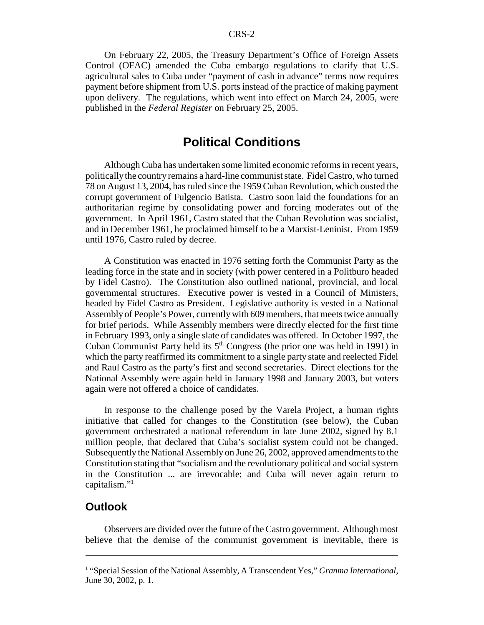On February 22, 2005, the Treasury Department's Office of Foreign Assets Control (OFAC) amended the Cuba embargo regulations to clarify that U.S. agricultural sales to Cuba under "payment of cash in advance" terms now requires payment before shipment from U.S. ports instead of the practice of making payment upon delivery. The regulations, which went into effect on March 24, 2005, were published in the *Federal Register* on February 25, 2005.

# **Political Conditions**

Although Cuba has undertaken some limited economic reforms in recent years, politically the country remains a hard-line communist state. Fidel Castro, who turned 78 on August 13, 2004, has ruled since the 1959 Cuban Revolution, which ousted the corrupt government of Fulgencio Batista. Castro soon laid the foundations for an authoritarian regime by consolidating power and forcing moderates out of the government. In April 1961, Castro stated that the Cuban Revolution was socialist, and in December 1961, he proclaimed himself to be a Marxist-Leninist. From 1959 until 1976, Castro ruled by decree.

A Constitution was enacted in 1976 setting forth the Communist Party as the leading force in the state and in society (with power centered in a Politburo headed by Fidel Castro). The Constitution also outlined national, provincial, and local governmental structures. Executive power is vested in a Council of Ministers, headed by Fidel Castro as President. Legislative authority is vested in a National Assembly of People's Power, currently with 609 members, that meets twice annually for brief periods. While Assembly members were directly elected for the first time in February 1993, only a single slate of candidates was offered. In October 1997, the Cuban Communist Party held its  $5<sup>th</sup>$  Congress (the prior one was held in 1991) in which the party reaffirmed its commitment to a single party state and reelected Fidel and Raul Castro as the party's first and second secretaries. Direct elections for the National Assembly were again held in January 1998 and January 2003, but voters again were not offered a choice of candidates.

In response to the challenge posed by the Varela Project, a human rights initiative that called for changes to the Constitution (see below), the Cuban government orchestrated a national referendum in late June 2002, signed by 8.1 million people, that declared that Cuba's socialist system could not be changed. Subsequently the National Assembly on June 26, 2002, approved amendments to the Constitution stating that "socialism and the revolutionary political and social system in the Constitution ... are irrevocable; and Cuba will never again return to capitalism."1

### **Outlook**

Observers are divided over the future of the Castro government. Although most believe that the demise of the communist government is inevitable, there is

<sup>&</sup>lt;sup>1</sup> "Special Session of the National Assembly, A Transcendent Yes," *Granma International*, June 30, 2002, p. 1.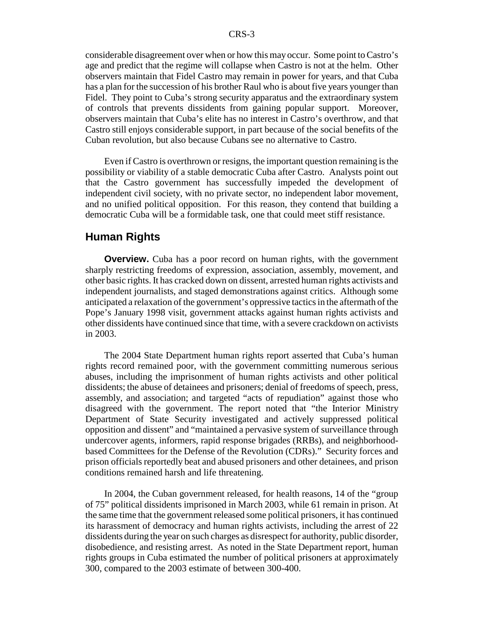considerable disagreement over when or how this may occur. Some point to Castro's age and predict that the regime will collapse when Castro is not at the helm. Other observers maintain that Fidel Castro may remain in power for years, and that Cuba has a plan for the succession of his brother Raul who is about five years younger than Fidel. They point to Cuba's strong security apparatus and the extraordinary system of controls that prevents dissidents from gaining popular support. Moreover, observers maintain that Cuba's elite has no interest in Castro's overthrow, and that Castro still enjoys considerable support, in part because of the social benefits of the Cuban revolution, but also because Cubans see no alternative to Castro.

Even if Castro is overthrown or resigns, the important question remaining is the possibility or viability of a stable democratic Cuba after Castro. Analysts point out that the Castro government has successfully impeded the development of independent civil society, with no private sector, no independent labor movement, and no unified political opposition. For this reason, they contend that building a democratic Cuba will be a formidable task, one that could meet stiff resistance.

#### **Human Rights**

**Overview.** Cuba has a poor record on human rights, with the government sharply restricting freedoms of expression, association, assembly, movement, and other basic rights. It has cracked down on dissent, arrested human rights activists and independent journalists, and staged demonstrations against critics. Although some anticipated a relaxation of the government's oppressive tactics in the aftermath of the Pope's January 1998 visit, government attacks against human rights activists and other dissidents have continued since that time, with a severe crackdown on activists in 2003.

The 2004 State Department human rights report asserted that Cuba's human rights record remained poor, with the government committing numerous serious abuses, including the imprisonment of human rights activists and other political dissidents; the abuse of detainees and prisoners; denial of freedoms of speech, press, assembly, and association; and targeted "acts of repudiation" against those who disagreed with the government. The report noted that "the Interior Ministry Department of State Security investigated and actively suppressed political opposition and dissent" and "maintained a pervasive system of surveillance through undercover agents, informers, rapid response brigades (RRBs), and neighborhoodbased Committees for the Defense of the Revolution (CDRs)." Security forces and prison officials reportedly beat and abused prisoners and other detainees, and prison conditions remained harsh and life threatening.

In 2004, the Cuban government released, for health reasons, 14 of the "group of 75" political dissidents imprisoned in March 2003, while 61 remain in prison. At the same time that the government released some political prisoners, it has continued its harassment of democracy and human rights activists, including the arrest of 22 dissidents during the year on such charges as disrespect for authority, public disorder, disobedience, and resisting arrest. As noted in the State Department report, human rights groups in Cuba estimated the number of political prisoners at approximately 300, compared to the 2003 estimate of between 300-400.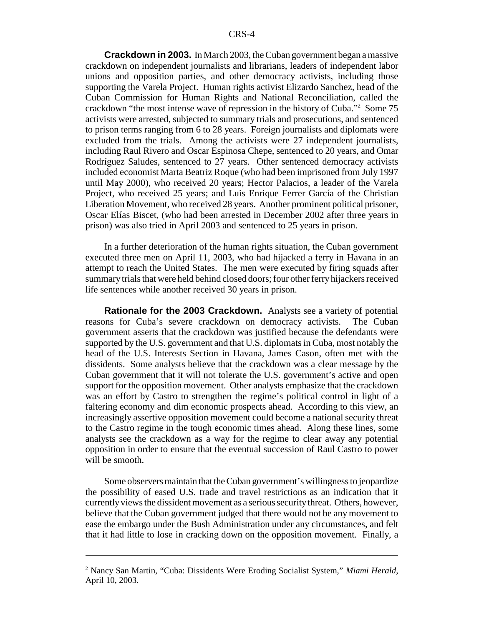**Crackdown in 2003.** In March 2003, the Cuban government began a massive crackdown on independent journalists and librarians, leaders of independent labor unions and opposition parties, and other democracy activists, including those supporting the Varela Project. Human rights activist Elizardo Sanchez, head of the Cuban Commission for Human Rights and National Reconciliation, called the crackdown "the most intense wave of repression in the history of Cuba."2 Some 75 activists were arrested, subjected to summary trials and prosecutions, and sentenced to prison terms ranging from 6 to 28 years. Foreign journalists and diplomats were excluded from the trials. Among the activists were 27 independent journalists, including Raul Rivero and Oscar Espinosa Chepe, sentenced to 20 years, and Omar Rodríguez Saludes, sentenced to 27 years. Other sentenced democracy activists included economist Marta Beatriz Roque (who had been imprisoned from July 1997 until May 2000), who received 20 years; Hector Palacios, a leader of the Varela Project, who received 25 years; and Luis Enrique Ferrer García of the Christian Liberation Movement, who received 28 years. Another prominent political prisoner, Oscar Elías Biscet, (who had been arrested in December 2002 after three years in prison) was also tried in April 2003 and sentenced to 25 years in prison.

In a further deterioration of the human rights situation, the Cuban government executed three men on April 11, 2003, who had hijacked a ferry in Havana in an attempt to reach the United States. The men were executed by firing squads after summary trials that were held behind closed doors; four other ferry hijackers received life sentences while another received 30 years in prison.

**Rationale for the 2003 Crackdown.** Analysts see a variety of potential reasons for Cuba's severe crackdown on democracy activists. The Cuban government asserts that the crackdown was justified because the defendants were supported by the U.S. government and that U.S. diplomats in Cuba, most notably the head of the U.S. Interests Section in Havana, James Cason, often met with the dissidents. Some analysts believe that the crackdown was a clear message by the Cuban government that it will not tolerate the U.S. government's active and open support for the opposition movement. Other analysts emphasize that the crackdown was an effort by Castro to strengthen the regime's political control in light of a faltering economy and dim economic prospects ahead. According to this view, an increasingly assertive opposition movement could become a national security threat to the Castro regime in the tough economic times ahead. Along these lines, some analysts see the crackdown as a way for the regime to clear away any potential opposition in order to ensure that the eventual succession of Raul Castro to power will be smooth.

Some observers maintain that the Cuban government's willingness to jeopardize the possibility of eased U.S. trade and travel restrictions as an indication that it currently views the dissident movement as a serious security threat. Others, however, believe that the Cuban government judged that there would not be any movement to ease the embargo under the Bush Administration under any circumstances, and felt that it had little to lose in cracking down on the opposition movement. Finally, a

<sup>2</sup> Nancy San Martin, "Cuba: Dissidents Were Eroding Socialist System," *Miami Herald*, April 10, 2003.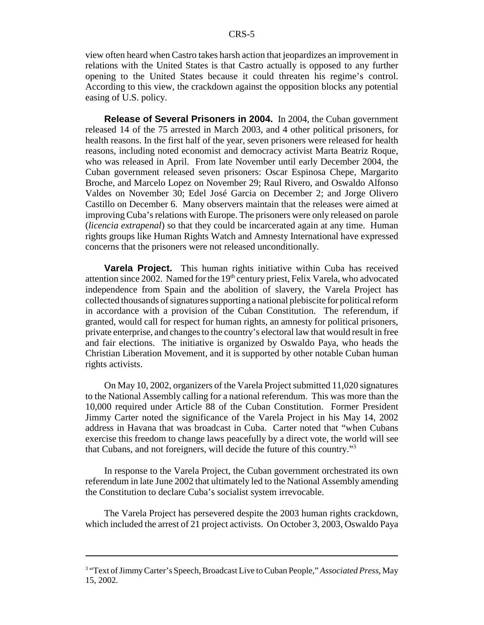view often heard when Castro takes harsh action that jeopardizes an improvement in relations with the United States is that Castro actually is opposed to any further opening to the United States because it could threaten his regime's control. According to this view, the crackdown against the opposition blocks any potential easing of U.S. policy.

**Release of Several Prisoners in 2004.** In 2004, the Cuban government released 14 of the 75 arrested in March 2003, and 4 other political prisoners, for health reasons. In the first half of the year, seven prisoners were released for health reasons, including noted economist and democracy activist Marta Beatriz Roque, who was released in April. From late November until early December 2004, the Cuban government released seven prisoners: Oscar Espinosa Chepe, Margarito Broche, and Marcelo Lopez on November 29; Raul Rivero, and Oswaldo Alfonso Valdes on November 30; Edel José Garcia on December 2; and Jorge Olivero Castillo on December 6. Many observers maintain that the releases were aimed at improving Cuba's relations with Europe. The prisoners were only released on parole (*licencia extrapenal*) so that they could be incarcerated again at any time. Human rights groups like Human Rights Watch and Amnesty International have expressed concerns that the prisoners were not released unconditionally.

**Varela Project.** This human rights initiative within Cuba has received attention since 2002. Named for the  $19<sup>th</sup>$  century priest, Felix Varela, who advocated independence from Spain and the abolition of slavery, the Varela Project has collected thousands of signatures supporting a national plebiscite for political reform in accordance with a provision of the Cuban Constitution. The referendum, if granted, would call for respect for human rights, an amnesty for political prisoners, private enterprise, and changes to the country's electoral law that would result in free and fair elections. The initiative is organized by Oswaldo Paya, who heads the Christian Liberation Movement, and it is supported by other notable Cuban human rights activists.

On May 10, 2002, organizers of the Varela Project submitted 11,020 signatures to the National Assembly calling for a national referendum. This was more than the 10,000 required under Article 88 of the Cuban Constitution. Former President Jimmy Carter noted the significance of the Varela Project in his May 14, 2002 address in Havana that was broadcast in Cuba. Carter noted that "when Cubans exercise this freedom to change laws peacefully by a direct vote, the world will see that Cubans, and not foreigners, will decide the future of this country."3

In response to the Varela Project, the Cuban government orchestrated its own referendum in late June 2002 that ultimately led to the National Assembly amending the Constitution to declare Cuba's socialist system irrevocable.

The Varela Project has persevered despite the 2003 human rights crackdown, which included the arrest of 21 project activists. On October 3, 2003, Oswaldo Paya

<sup>&</sup>lt;sup>3</sup> "Text of Jimmy Carter's Speech, Broadcast Live to Cuban People," Associated Press, May 15, 2002.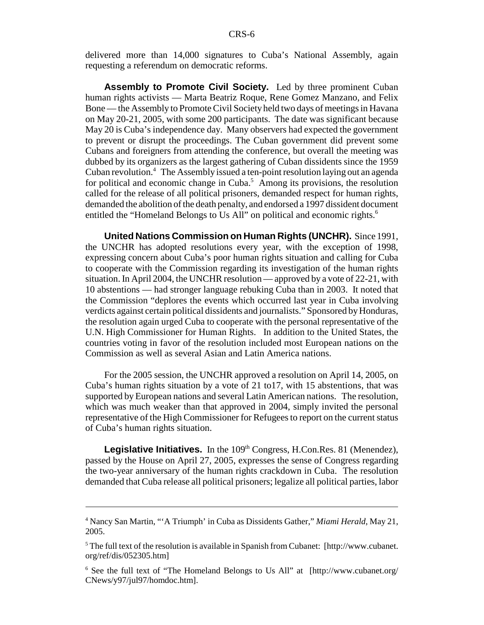delivered more than 14,000 signatures to Cuba's National Assembly, again requesting a referendum on democratic reforms.

**Assembly to Promote Civil Society.** Led by three prominent Cuban human rights activists — Marta Beatriz Roque, Rene Gomez Manzano, and Felix Bone — the Assembly to Promote Civil Society held two days of meetings in Havana on May 20-21, 2005, with some 200 participants. The date was significant because May 20 is Cuba's independence day. Many observers had expected the government to prevent or disrupt the proceedings. The Cuban government did prevent some Cubans and foreigners from attending the conference, but overall the meeting was dubbed by its organizers as the largest gathering of Cuban dissidents since the 1959 Cuban revolution.4 The Assembly issued a ten-point resolution laying out an agenda for political and economic change in Cuba.<sup>5</sup> Among its provisions, the resolution called for the release of all political prisoners, demanded respect for human rights, demanded the abolition of the death penalty, and endorsed a 1997 dissident document entitled the "Homeland Belongs to Us All" on political and economic rights.<sup>6</sup>

**United Nations Commission on Human Rights (UNCHR).** Since 1991, the UNCHR has adopted resolutions every year, with the exception of 1998, expressing concern about Cuba's poor human rights situation and calling for Cuba to cooperate with the Commission regarding its investigation of the human rights situation. In April 2004, the UNCHR resolution — approved by a vote of 22-21, with 10 abstentions — had stronger language rebuking Cuba than in 2003. It noted that the Commission "deplores the events which occurred last year in Cuba involving verdicts against certain political dissidents and journalists." Sponsored by Honduras, the resolution again urged Cuba to cooperate with the personal representative of the U.N. High Commissioner for Human Rights. In addition to the United States, the countries voting in favor of the resolution included most European nations on the Commission as well as several Asian and Latin America nations.

For the 2005 session, the UNCHR approved a resolution on April 14, 2005, on Cuba's human rights situation by a vote of 21 to17, with 15 abstentions, that was supported by European nations and several Latin American nations. The resolution, which was much weaker than that approved in 2004, simply invited the personal representative of the High Commissioner for Refugees to report on the current status of Cuba's human rights situation.

**Legislative Initiatives.** In the 109<sup>th</sup> Congress, H.Con.Res. 81 (Menendez), passed by the House on April 27, 2005, expresses the sense of Congress regarding the two-year anniversary of the human rights crackdown in Cuba. The resolution demanded that Cuba release all political prisoners; legalize all political parties, labor

<sup>4</sup> Nancy San Martin, "'A Triumph' in Cuba as Dissidents Gather," *Miami Herald*, May 21, 2005.

 $<sup>5</sup>$  The full text of the resolution is available in Spanish from Cubanet: [http://www.cubanet.</sup> org/ref/dis/052305.htm]

<sup>&</sup>lt;sup>6</sup> See the full text of "The Homeland Belongs to Us All" at [http://www.cubanet.org/ CNews/y97/jul97/homdoc.htm].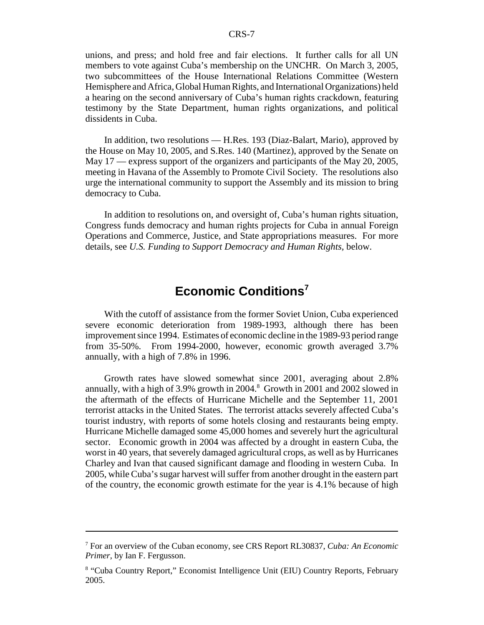unions, and press; and hold free and fair elections. It further calls for all UN members to vote against Cuba's membership on the UNCHR. On March 3, 2005, two subcommittees of the House International Relations Committee (Western Hemisphere and Africa, Global Human Rights, and International Organizations) held a hearing on the second anniversary of Cuba's human rights crackdown, featuring testimony by the State Department, human rights organizations, and political dissidents in Cuba.

In addition, two resolutions — H.Res. 193 (Diaz-Balart, Mario), approved by the House on May 10, 2005, and S.Res. 140 (Martinez), approved by the Senate on May 17 — express support of the organizers and participants of the May 20, 2005, meeting in Havana of the Assembly to Promote Civil Society. The resolutions also urge the international community to support the Assembly and its mission to bring democracy to Cuba.

In addition to resolutions on, and oversight of, Cuba's human rights situation, Congress funds democracy and human rights projects for Cuba in annual Foreign Operations and Commerce, Justice, and State appropriations measures. For more details, see *U.S. Funding to Support Democracy and Human Rights,* below.

# **Economic Conditions<sup>7</sup>**

With the cutoff of assistance from the former Soviet Union, Cuba experienced severe economic deterioration from 1989-1993, although there has been improvement since 1994. Estimates of economic decline in the 1989-93 period range from 35-50%. From 1994-2000, however, economic growth averaged 3.7% annually, with a high of 7.8% in 1996.

Growth rates have slowed somewhat since 2001, averaging about 2.8% annually, with a high of 3.9% growth in 2004.<sup>8</sup> Growth in 2001 and 2002 slowed in the aftermath of the effects of Hurricane Michelle and the September 11, 2001 terrorist attacks in the United States. The terrorist attacks severely affected Cuba's tourist industry, with reports of some hotels closing and restaurants being empty. Hurricane Michelle damaged some 45,000 homes and severely hurt the agricultural sector. Economic growth in 2004 was affected by a drought in eastern Cuba, the worst in 40 years, that severely damaged agricultural crops, as well as by Hurricanes Charley and Ivan that caused significant damage and flooding in western Cuba. In 2005, while Cuba's sugar harvest will suffer from another drought in the eastern part of the country, the economic growth estimate for the year is 4.1% because of high

<sup>7</sup> For an overview of the Cuban economy, see CRS Report RL30837, *Cuba: An Economic Primer*, by Ian F. Fergusson.

<sup>&</sup>lt;sup>8</sup> "Cuba Country Report," Economist Intelligence Unit (EIU) Country Reports, February 2005.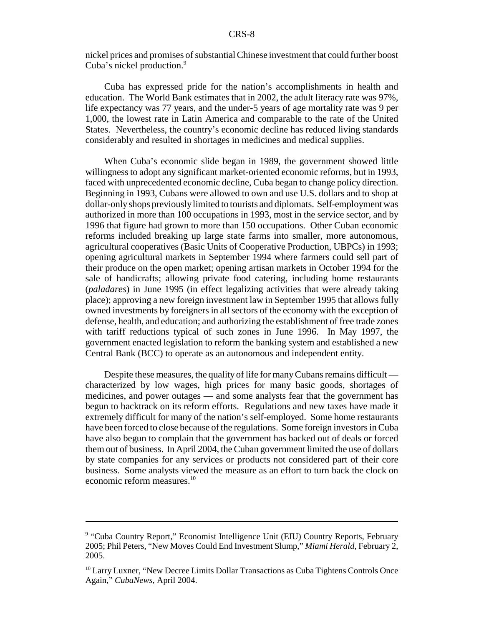nickel prices and promises of substantial Chinese investment that could further boost Cuba's nickel production.<sup>9</sup>

Cuba has expressed pride for the nation's accomplishments in health and education. The World Bank estimates that in 2002, the adult literacy rate was 97%, life expectancy was 77 years, and the under-5 years of age mortality rate was 9 per 1,000, the lowest rate in Latin America and comparable to the rate of the United States. Nevertheless, the country's economic decline has reduced living standards considerably and resulted in shortages in medicines and medical supplies.

When Cuba's economic slide began in 1989, the government showed little willingness to adopt any significant market-oriented economic reforms, but in 1993, faced with unprecedented economic decline, Cuba began to change policy direction. Beginning in 1993, Cubans were allowed to own and use U.S. dollars and to shop at dollar-only shops previously limited to tourists and diplomats. Self-employment was authorized in more than 100 occupations in 1993, most in the service sector, and by 1996 that figure had grown to more than 150 occupations. Other Cuban economic reforms included breaking up large state farms into smaller, more autonomous, agricultural cooperatives (Basic Units of Cooperative Production, UBPCs) in 1993; opening agricultural markets in September 1994 where farmers could sell part of their produce on the open market; opening artisan markets in October 1994 for the sale of handicrafts; allowing private food catering, including home restaurants (*paladares*) in June 1995 (in effect legalizing activities that were already taking place); approving a new foreign investment law in September 1995 that allows fully owned investments by foreigners in all sectors of the economy with the exception of defense, health, and education; and authorizing the establishment of free trade zones with tariff reductions typical of such zones in June 1996. In May 1997, the government enacted legislation to reform the banking system and established a new Central Bank (BCC) to operate as an autonomous and independent entity.

Despite these measures, the quality of life for many Cubans remains difficult characterized by low wages, high prices for many basic goods, shortages of medicines, and power outages — and some analysts fear that the government has begun to backtrack on its reform efforts. Regulations and new taxes have made it extremely difficult for many of the nation's self-employed. Some home restaurants have been forced to close because of the regulations. Some foreign investors in Cuba have also begun to complain that the government has backed out of deals or forced them out of business. In April 2004, the Cuban government limited the use of dollars by state companies for any services or products not considered part of their core business. Some analysts viewed the measure as an effort to turn back the clock on economic reform measures.<sup>10</sup>

<sup>&</sup>lt;sup>9</sup> "Cuba Country Report," Economist Intelligence Unit (EIU) Country Reports, February 2005; Phil Peters, "New Moves Could End Investment Slump," *Miami Herald*, February 2, 2005.

<sup>&</sup>lt;sup>10</sup> Larry Luxner, "New Decree Limits Dollar Transactions as Cuba Tightens Controls Once Again," *CubaNews*, April 2004.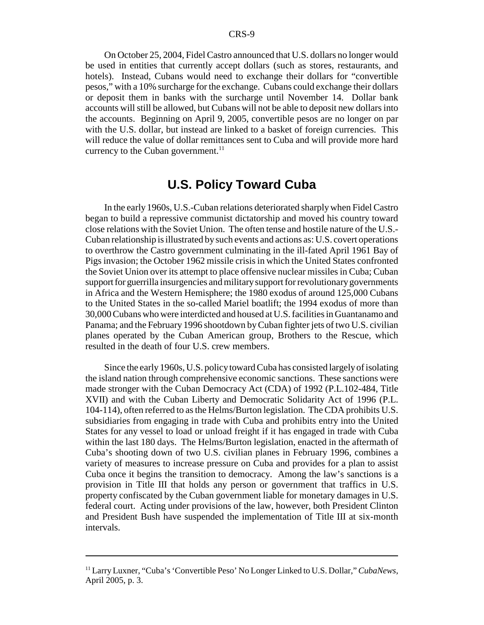On October 25, 2004, Fidel Castro announced that U.S. dollars no longer would be used in entities that currently accept dollars (such as stores, restaurants, and hotels). Instead, Cubans would need to exchange their dollars for "convertible pesos," with a 10% surcharge for the exchange. Cubans could exchange their dollars or deposit them in banks with the surcharge until November 14. Dollar bank accounts will still be allowed, but Cubans will not be able to deposit new dollars into the accounts. Beginning on April 9, 2005, convertible pesos are no longer on par with the U.S. dollar, but instead are linked to a basket of foreign currencies. This will reduce the value of dollar remittances sent to Cuba and will provide more hard currency to the Cuban government. $^{11}$ 

# **U.S. Policy Toward Cuba**

In the early 1960s, U.S.-Cuban relations deteriorated sharply when Fidel Castro began to build a repressive communist dictatorship and moved his country toward close relations with the Soviet Union. The often tense and hostile nature of the U.S.- Cuban relationship is illustrated by such events and actions as: U.S. covert operations to overthrow the Castro government culminating in the ill-fated April 1961 Bay of Pigs invasion; the October 1962 missile crisis in which the United States confronted the Soviet Union over its attempt to place offensive nuclear missiles in Cuba; Cuban support for guerrilla insurgencies and military support for revolutionary governments in Africa and the Western Hemisphere; the 1980 exodus of around 125,000 Cubans to the United States in the so-called Mariel boatlift; the 1994 exodus of more than 30,000 Cubans who were interdicted and housed at U.S. facilities in Guantanamo and Panama; and the February 1996 shootdown by Cuban fighter jets of two U.S. civilian planes operated by the Cuban American group, Brothers to the Rescue, which resulted in the death of four U.S. crew members.

Since the early 1960s, U.S. policy toward Cuba has consisted largely of isolating the island nation through comprehensive economic sanctions. These sanctions were made stronger with the Cuban Democracy Act (CDA) of 1992 (P.L.102-484, Title XVII) and with the Cuban Liberty and Democratic Solidarity Act of 1996 (P.L. 104-114), often referred to as the Helms/Burton legislation. The CDA prohibits U.S. subsidiaries from engaging in trade with Cuba and prohibits entry into the United States for any vessel to load or unload freight if it has engaged in trade with Cuba within the last 180 days. The Helms/Burton legislation, enacted in the aftermath of Cuba's shooting down of two U.S. civilian planes in February 1996, combines a variety of measures to increase pressure on Cuba and provides for a plan to assist Cuba once it begins the transition to democracy. Among the law's sanctions is a provision in Title III that holds any person or government that traffics in U.S. property confiscated by the Cuban government liable for monetary damages in U.S. federal court. Acting under provisions of the law, however, both President Clinton and President Bush have suspended the implementation of Title III at six-month intervals.

<sup>11</sup> Larry Luxner, "Cuba's 'Convertible Peso' No Longer Linked to U.S. Dollar," *CubaNews*, April 2005, p. 3.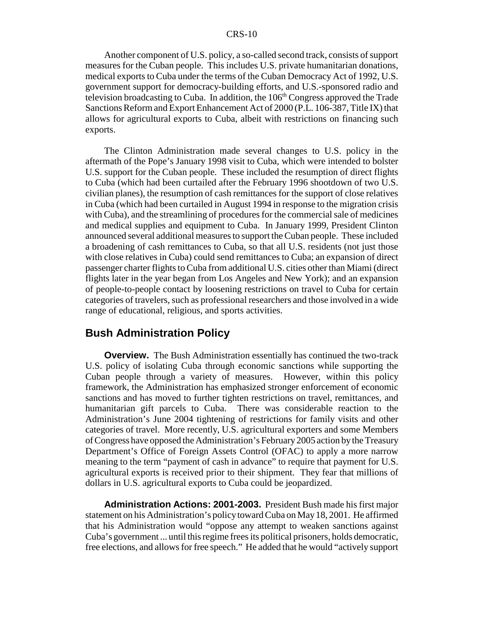Another component of U.S. policy, a so-called second track, consists of support measures for the Cuban people. This includes U.S. private humanitarian donations, medical exports to Cuba under the terms of the Cuban Democracy Act of 1992, U.S. government support for democracy-building efforts, and U.S.-sponsored radio and television broadcasting to Cuba. In addition, the  $106<sup>th</sup>$  Congress approved the Trade Sanctions Reform and Export Enhancement Act of 2000 (P.L. 106-387, Title IX) that allows for agricultural exports to Cuba, albeit with restrictions on financing such exports.

The Clinton Administration made several changes to U.S. policy in the aftermath of the Pope's January 1998 visit to Cuba, which were intended to bolster U.S. support for the Cuban people. These included the resumption of direct flights to Cuba (which had been curtailed after the February 1996 shootdown of two U.S. civilian planes), the resumption of cash remittances for the support of close relatives in Cuba (which had been curtailed in August 1994 in response to the migration crisis with Cuba), and the streamlining of procedures for the commercial sale of medicines and medical supplies and equipment to Cuba. In January 1999, President Clinton announced several additional measures to support the Cuban people. These included a broadening of cash remittances to Cuba, so that all U.S. residents (not just those with close relatives in Cuba) could send remittances to Cuba; an expansion of direct passenger charter flights to Cuba from additional U.S. cities other than Miami (direct flights later in the year began from Los Angeles and New York); and an expansion of people-to-people contact by loosening restrictions on travel to Cuba for certain categories of travelers, such as professional researchers and those involved in a wide range of educational, religious, and sports activities.

# **Bush Administration Policy**

**Overview.** The Bush Administration essentially has continued the two-track U.S. policy of isolating Cuba through economic sanctions while supporting the Cuban people through a variety of measures. However, within this policy framework, the Administration has emphasized stronger enforcement of economic sanctions and has moved to further tighten restrictions on travel, remittances, and humanitarian gift parcels to Cuba. There was considerable reaction to the Administration's June 2004 tightening of restrictions for family visits and other categories of travel. More recently, U.S. agricultural exporters and some Members of Congress have opposed the Administration's February 2005 action by the Treasury Department's Office of Foreign Assets Control (OFAC) to apply a more narrow meaning to the term "payment of cash in advance" to require that payment for U.S. agricultural exports is received prior to their shipment. They fear that millions of dollars in U.S. agricultural exports to Cuba could be jeopardized.

**Administration Actions: 2001-2003.** President Bush made his first major statement on his Administration's policy toward Cuba on May 18, 2001. He affirmed that his Administration would "oppose any attempt to weaken sanctions against Cuba's government ... until this regime frees its political prisoners, holds democratic, free elections, and allows for free speech." He added that he would "actively support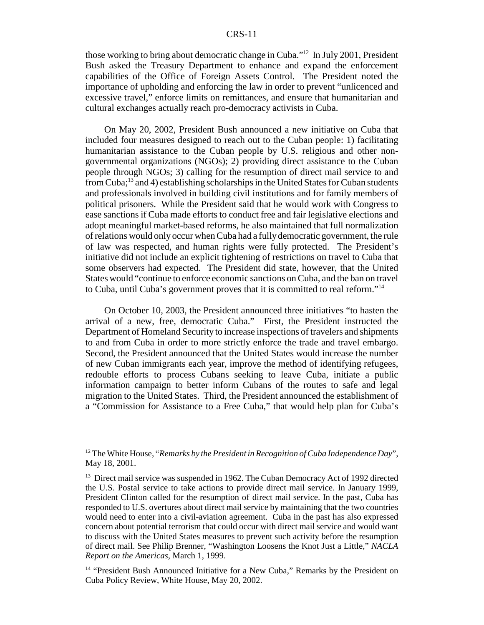those working to bring about democratic change in Cuba."12 In July 2001, President Bush asked the Treasury Department to enhance and expand the enforcement capabilities of the Office of Foreign Assets Control. The President noted the importance of upholding and enforcing the law in order to prevent "unlicenced and excessive travel," enforce limits on remittances, and ensure that humanitarian and cultural exchanges actually reach pro-democracy activists in Cuba.

On May 20, 2002, President Bush announced a new initiative on Cuba that included four measures designed to reach out to the Cuban people: 1) facilitating humanitarian assistance to the Cuban people by U.S. religious and other nongovernmental organizations (NGOs); 2) providing direct assistance to the Cuban people through NGOs; 3) calling for the resumption of direct mail service to and from Cuba;13 and 4) establishing scholarships in the United States for Cuban students and professionals involved in building civil institutions and for family members of political prisoners. While the President said that he would work with Congress to ease sanctions if Cuba made efforts to conduct free and fair legislative elections and adopt meaningful market-based reforms, he also maintained that full normalization of relations would only occur when Cuba had a fully democratic government, the rule of law was respected, and human rights were fully protected. The President's initiative did not include an explicit tightening of restrictions on travel to Cuba that some observers had expected. The President did state, however, that the United States would "continue to enforce economic sanctions on Cuba, and the ban on travel to Cuba, until Cuba's government proves that it is committed to real reform."14

On October 10, 2003, the President announced three initiatives "to hasten the arrival of a new, free, democratic Cuba." First, the President instructed the Department of Homeland Security to increase inspections of travelers and shipments to and from Cuba in order to more strictly enforce the trade and travel embargo. Second, the President announced that the United States would increase the number of new Cuban immigrants each year, improve the method of identifying refugees, redouble efforts to process Cubans seeking to leave Cuba, initiate a public information campaign to better inform Cubans of the routes to safe and legal migration to the United States. Third, the President announced the establishment of a "Commission for Assistance to a Free Cuba," that would help plan for Cuba's

<sup>&</sup>lt;sup>12</sup> The White House, "*Remarks by the President in Recognition of Cuba Independence Day*". May 18, 2001.

<sup>&</sup>lt;sup>13</sup> Direct mail service was suspended in 1962. The Cuban Democracy Act of 1992 directed the U.S. Postal service to take actions to provide direct mail service. In January 1999, President Clinton called for the resumption of direct mail service. In the past, Cuba has responded to U.S. overtures about direct mail service by maintaining that the two countries would need to enter into a civil-aviation agreement. Cuba in the past has also expressed concern about potential terrorism that could occur with direct mail service and would want to discuss with the United States measures to prevent such activity before the resumption of direct mail. See Philip Brenner, "Washington Loosens the Knot Just a Little," *NACLA Report on the Americas*, March 1, 1999.

<sup>&</sup>lt;sup>14</sup> "President Bush Announced Initiative for a New Cuba," Remarks by the President on Cuba Policy Review, White House, May 20, 2002.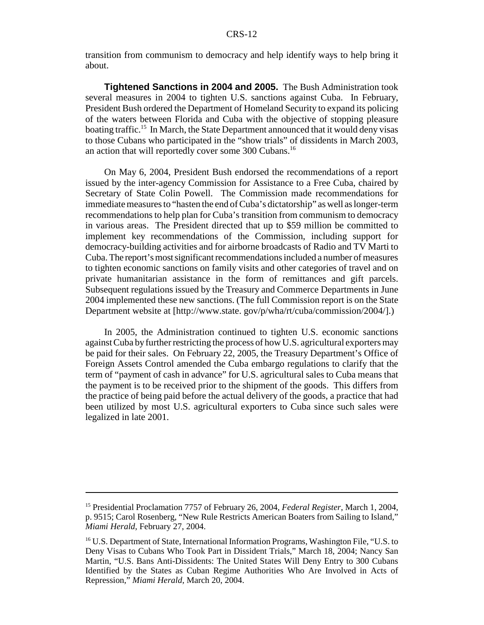transition from communism to democracy and help identify ways to help bring it about.

**Tightened Sanctions in 2004 and 2005.** The Bush Administration took several measures in 2004 to tighten U.S. sanctions against Cuba. In February, President Bush ordered the Department of Homeland Security to expand its policing of the waters between Florida and Cuba with the objective of stopping pleasure boating traffic.<sup>15</sup> In March, the State Department announced that it would deny visas to those Cubans who participated in the "show trials" of dissidents in March 2003, an action that will reportedly cover some 300 Cubans.<sup>16</sup>

On May 6, 2004, President Bush endorsed the recommendations of a report issued by the inter-agency Commission for Assistance to a Free Cuba, chaired by Secretary of State Colin Powell. The Commission made recommendations for immediate measures to "hasten the end of Cuba's dictatorship" as well as longer-term recommendations to help plan for Cuba's transition from communism to democracy in various areas. The President directed that up to \$59 million be committed to implement key recommendations of the Commission, including support for democracy-building activities and for airborne broadcasts of Radio and TV Marti to Cuba. The report's most significant recommendations included a number of measures to tighten economic sanctions on family visits and other categories of travel and on private humanitarian assistance in the form of remittances and gift parcels. Subsequent regulations issued by the Treasury and Commerce Departments in June 2004 implemented these new sanctions. (The full Commission report is on the State Department website at [http://www.state. gov/p/wha/rt/cuba/commission/2004/].)

In 2005, the Administration continued to tighten U.S. economic sanctions against Cuba by further restricting the process of how U.S. agricultural exporters may be paid for their sales. On February 22, 2005, the Treasury Department's Office of Foreign Assets Control amended the Cuba embargo regulations to clarify that the term of "payment of cash in advance" for U.S. agricultural sales to Cuba means that the payment is to be received prior to the shipment of the goods. This differs from the practice of being paid before the actual delivery of the goods, a practice that had been utilized by most U.S. agricultural exporters to Cuba since such sales were legalized in late 2001.

<sup>15</sup> Presidential Proclamation 7757 of February 26, 2004, *Federal Register*, March 1, 2004, p. 9515; Carol Rosenberg, "New Rule Restricts American Boaters from Sailing to Island," *Miami Herald*, February 27, 2004.

<sup>&</sup>lt;sup>16</sup> U.S. Department of State, International Information Programs, Washington File, "U.S. to Deny Visas to Cubans Who Took Part in Dissident Trials," March 18, 2004; Nancy San Martin, "U.S. Bans Anti-Dissidents: The United States Will Deny Entry to 300 Cubans Identified by the States as Cuban Regime Authorities Who Are Involved in Acts of Repression," *Miami Herald*, March 20, 2004.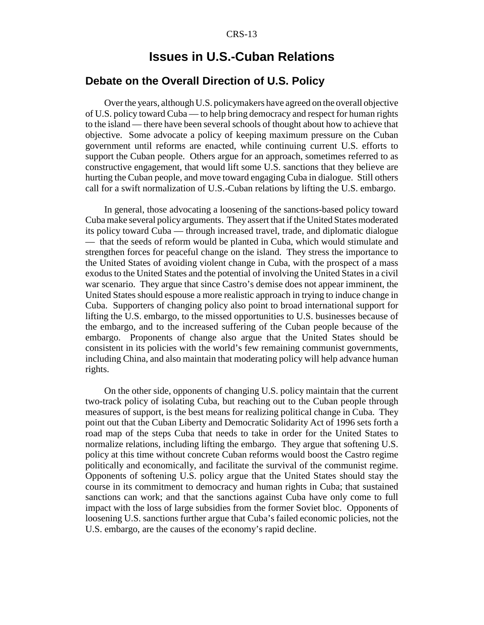# **Issues in U.S.-Cuban Relations**

### **Debate on the Overall Direction of U.S. Policy**

Over the years, although U.S. policymakers have agreed on the overall objective of U.S. policy toward Cuba — to help bring democracy and respect for human rights to the island — there have been several schools of thought about how to achieve that objective. Some advocate a policy of keeping maximum pressure on the Cuban government until reforms are enacted, while continuing current U.S. efforts to support the Cuban people. Others argue for an approach, sometimes referred to as constructive engagement, that would lift some U.S. sanctions that they believe are hurting the Cuban people, and move toward engaging Cuba in dialogue. Still others call for a swift normalization of U.S.-Cuban relations by lifting the U.S. embargo.

In general, those advocating a loosening of the sanctions-based policy toward Cuba make several policy arguments. They assert that if the United States moderated its policy toward Cuba — through increased travel, trade, and diplomatic dialogue — that the seeds of reform would be planted in Cuba, which would stimulate and strengthen forces for peaceful change on the island. They stress the importance to the United States of avoiding violent change in Cuba, with the prospect of a mass exodus to the United States and the potential of involving the United States in a civil war scenario. They argue that since Castro's demise does not appear imminent, the United States should espouse a more realistic approach in trying to induce change in Cuba. Supporters of changing policy also point to broad international support for lifting the U.S. embargo, to the missed opportunities to U.S. businesses because of the embargo, and to the increased suffering of the Cuban people because of the embargo. Proponents of change also argue that the United States should be consistent in its policies with the world's few remaining communist governments, including China, and also maintain that moderating policy will help advance human rights.

On the other side, opponents of changing U.S. policy maintain that the current two-track policy of isolating Cuba, but reaching out to the Cuban people through measures of support, is the best means for realizing political change in Cuba. They point out that the Cuban Liberty and Democratic Solidarity Act of 1996 sets forth a road map of the steps Cuba that needs to take in order for the United States to normalize relations, including lifting the embargo. They argue that softening U.S. policy at this time without concrete Cuban reforms would boost the Castro regime politically and economically, and facilitate the survival of the communist regime. Opponents of softening U.S. policy argue that the United States should stay the course in its commitment to democracy and human rights in Cuba; that sustained sanctions can work; and that the sanctions against Cuba have only come to full impact with the loss of large subsidies from the former Soviet bloc. Opponents of loosening U.S. sanctions further argue that Cuba's failed economic policies, not the U.S. embargo, are the causes of the economy's rapid decline.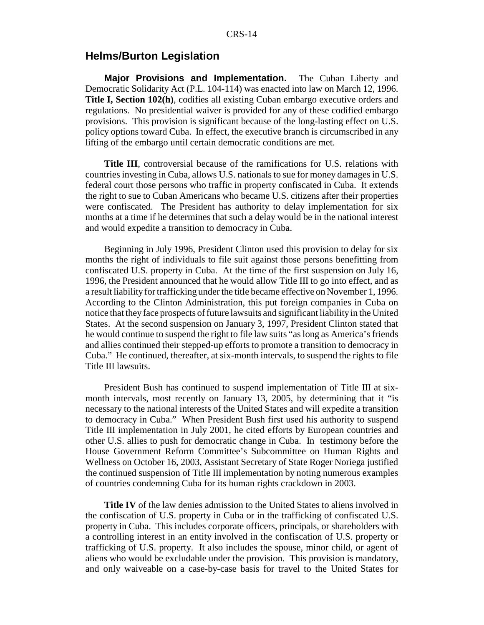# **Helms/Burton Legislation**

**Major Provisions and Implementation.** The Cuban Liberty and Democratic Solidarity Act (P.L. 104-114) was enacted into law on March 12, 1996. **Title I, Section 102(h)**, codifies all existing Cuban embargo executive orders and regulations. No presidential waiver is provided for any of these codified embargo provisions. This provision is significant because of the long-lasting effect on U.S. policy options toward Cuba. In effect, the executive branch is circumscribed in any lifting of the embargo until certain democratic conditions are met.

**Title III**, controversial because of the ramifications for U.S. relations with countries investing in Cuba, allows U.S. nationals to sue for money damages in U.S. federal court those persons who traffic in property confiscated in Cuba. It extends the right to sue to Cuban Americans who became U.S. citizens after their properties were confiscated. The President has authority to delay implementation for six months at a time if he determines that such a delay would be in the national interest and would expedite a transition to democracy in Cuba.

Beginning in July 1996, President Clinton used this provision to delay for six months the right of individuals to file suit against those persons benefitting from confiscated U.S. property in Cuba. At the time of the first suspension on July 16, 1996, the President announced that he would allow Title III to go into effect, and as a result liability for trafficking under the title became effective on November 1, 1996. According to the Clinton Administration, this put foreign companies in Cuba on notice that they face prospects of future lawsuits and significant liability in the United States. At the second suspension on January 3, 1997, President Clinton stated that he would continue to suspend the right to file law suits "as long as America's friends and allies continued their stepped-up efforts to promote a transition to democracy in Cuba." He continued, thereafter, at six-month intervals, to suspend the rights to file Title III lawsuits.

President Bush has continued to suspend implementation of Title III at sixmonth intervals, most recently on January 13, 2005, by determining that it "is necessary to the national interests of the United States and will expedite a transition to democracy in Cuba." When President Bush first used his authority to suspend Title III implementation in July 2001, he cited efforts by European countries and other U.S. allies to push for democratic change in Cuba. In testimony before the House Government Reform Committee's Subcommittee on Human Rights and Wellness on October 16, 2003, Assistant Secretary of State Roger Noriega justified the continued suspension of Title III implementation by noting numerous examples of countries condemning Cuba for its human rights crackdown in 2003.

**Title IV** of the law denies admission to the United States to aliens involved in the confiscation of U.S. property in Cuba or in the trafficking of confiscated U.S. property in Cuba. This includes corporate officers, principals, or shareholders with a controlling interest in an entity involved in the confiscation of U.S. property or trafficking of U.S. property. It also includes the spouse, minor child, or agent of aliens who would be excludable under the provision. This provision is mandatory, and only waiveable on a case-by-case basis for travel to the United States for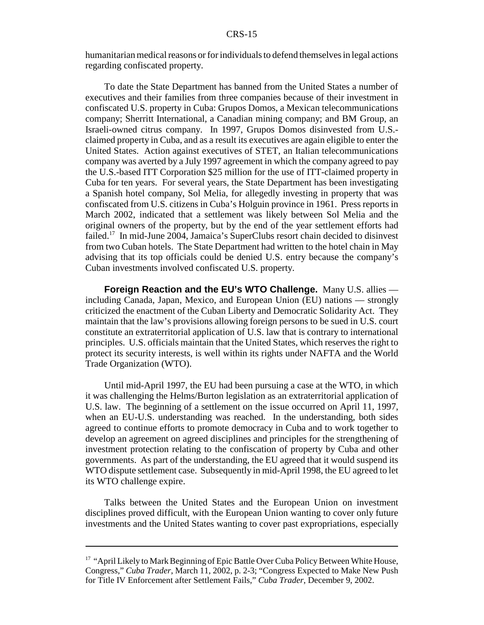humanitarian medical reasons or for individuals to defend themselves in legal actions regarding confiscated property.

To date the State Department has banned from the United States a number of executives and their families from three companies because of their investment in confiscated U.S. property in Cuba: Grupos Domos, a Mexican telecommunications company; Sherritt International, a Canadian mining company; and BM Group, an Israeli-owned citrus company. In 1997, Grupos Domos disinvested from U.S. claimed property in Cuba, and as a result its executives are again eligible to enter the United States. Action against executives of STET, an Italian telecommunications company was averted by a July 1997 agreement in which the company agreed to pay the U.S.-based ITT Corporation \$25 million for the use of ITT-claimed property in Cuba for ten years. For several years, the State Department has been investigating a Spanish hotel company, Sol Melia, for allegedly investing in property that was confiscated from U.S. citizens in Cuba's Holguin province in 1961. Press reports in March 2002, indicated that a settlement was likely between Sol Melia and the original owners of the property, but by the end of the year settlement efforts had failed.17 In mid-June 2004, Jamaica's SuperClubs resort chain decided to disinvest from two Cuban hotels. The State Department had written to the hotel chain in May advising that its top officials could be denied U.S. entry because the company's Cuban investments involved confiscated U.S. property.

**Foreign Reaction and the EU's WTO Challenge.** Many U.S. allies including Canada, Japan, Mexico, and European Union (EU) nations — strongly criticized the enactment of the Cuban Liberty and Democratic Solidarity Act. They maintain that the law's provisions allowing foreign persons to be sued in U.S. court constitute an extraterritorial application of U.S. law that is contrary to international principles. U.S. officials maintain that the United States, which reserves the right to protect its security interests, is well within its rights under NAFTA and the World Trade Organization (WTO).

Until mid-April 1997, the EU had been pursuing a case at the WTO, in which it was challenging the Helms/Burton legislation as an extraterritorial application of U.S. law. The beginning of a settlement on the issue occurred on April 11, 1997, when an EU-U.S. understanding was reached. In the understanding, both sides agreed to continue efforts to promote democracy in Cuba and to work together to develop an agreement on agreed disciplines and principles for the strengthening of investment protection relating to the confiscation of property by Cuba and other governments. As part of the understanding, the EU agreed that it would suspend its WTO dispute settlement case. Subsequently in mid-April 1998, the EU agreed to let its WTO challenge expire.

Talks between the United States and the European Union on investment disciplines proved difficult, with the European Union wanting to cover only future investments and the United States wanting to cover past expropriations, especially

<sup>&</sup>lt;sup>17</sup> "April Likely to Mark Beginning of Epic Battle Over Cuba Policy Between White House, Congress," *Cuba Trader*, March 11, 2002, p. 2-3; "Congress Expected to Make New Push for Title IV Enforcement after Settlement Fails," *Cuba Trader*, December 9, 2002.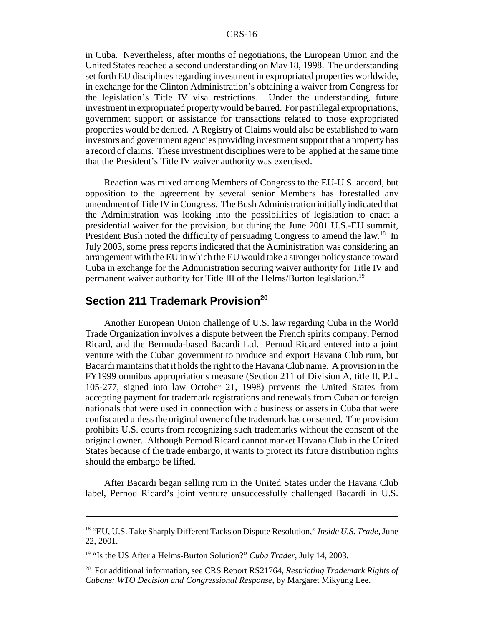in Cuba. Nevertheless, after months of negotiations, the European Union and the United States reached a second understanding on May 18, 1998. The understanding set forth EU disciplines regarding investment in expropriated properties worldwide, in exchange for the Clinton Administration's obtaining a waiver from Congress for the legislation's Title IV visa restrictions. Under the understanding, future investment in expropriated property would be barred. For past illegal expropriations, government support or assistance for transactions related to those expropriated properties would be denied. A Registry of Claims would also be established to warn investors and government agencies providing investment support that a property has a record of claims. These investment disciplines were to be applied at the same time that the President's Title IV waiver authority was exercised.

Reaction was mixed among Members of Congress to the EU-U.S. accord, but opposition to the agreement by several senior Members has forestalled any amendment of Title IV in Congress. The Bush Administration initially indicated that the Administration was looking into the possibilities of legislation to enact a presidential waiver for the provision, but during the June 2001 U.S.-EU summit, President Bush noted the difficulty of persuading Congress to amend the law.<sup>18</sup> In July 2003, some press reports indicated that the Administration was considering an arrangement with the EU in which the EU would take a stronger policy stance toward Cuba in exchange for the Administration securing waiver authority for Title IV and permanent waiver authority for Title III of the Helms/Burton legislation.<sup>19</sup>

# **Section 211 Trademark Provision<sup>20</sup>**

Another European Union challenge of U.S. law regarding Cuba in the World Trade Organization involves a dispute between the French spirits company, Pernod Ricard, and the Bermuda-based Bacardi Ltd. Pernod Ricard entered into a joint venture with the Cuban government to produce and export Havana Club rum, but Bacardi maintains that it holds the right to the Havana Club name. A provision in the FY1999 omnibus appropriations measure (Section 211 of Division A, title II, P.L. 105-277, signed into law October 21, 1998) prevents the United States from accepting payment for trademark registrations and renewals from Cuban or foreign nationals that were used in connection with a business or assets in Cuba that were confiscated unless the original owner of the trademark has consented. The provision prohibits U.S. courts from recognizing such trademarks without the consent of the original owner. Although Pernod Ricard cannot market Havana Club in the United States because of the trade embargo, it wants to protect its future distribution rights should the embargo be lifted.

After Bacardi began selling rum in the United States under the Havana Club label, Pernod Ricard's joint venture unsuccessfully challenged Bacardi in U.S.

<sup>18 &</sup>quot;EU, U.S. Take Sharply Different Tacks on Dispute Resolution," *Inside U.S. Trade*, June 22, 2001.

<sup>19 &</sup>quot;Is the US After a Helms-Burton Solution?" *Cuba Trader*, July 14, 2003.

<sup>20</sup> For additional information, see CRS Report RS21764, *Restricting Trademark Rights of Cubans: WTO Decision and Congressional Response*, by Margaret Mikyung Lee.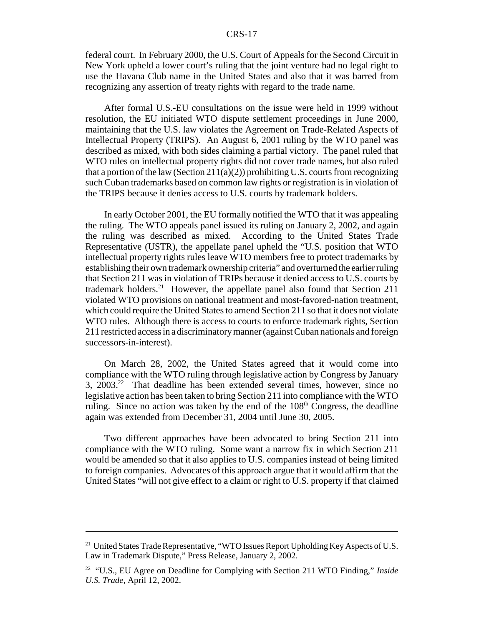federal court. In February 2000, the U.S. Court of Appeals for the Second Circuit in New York upheld a lower court's ruling that the joint venture had no legal right to use the Havana Club name in the United States and also that it was barred from recognizing any assertion of treaty rights with regard to the trade name.

After formal U.S.-EU consultations on the issue were held in 1999 without resolution, the EU initiated WTO dispute settlement proceedings in June 2000, maintaining that the U.S. law violates the Agreement on Trade-Related Aspects of Intellectual Property (TRIPS). An August 6, 2001 ruling by the WTO panel was described as mixed, with both sides claiming a partial victory. The panel ruled that WTO rules on intellectual property rights did not cover trade names, but also ruled that a portion of the law (Section 211(a)(2)) prohibiting U.S. courts from recognizing such Cuban trademarks based on common law rights or registration is in violation of the TRIPS because it denies access to U.S. courts by trademark holders.

In early October 2001, the EU formally notified the WTO that it was appealing the ruling. The WTO appeals panel issued its ruling on January 2, 2002, and again the ruling was described as mixed. According to the United States Trade Representative (USTR), the appellate panel upheld the "U.S. position that WTO intellectual property rights rules leave WTO members free to protect trademarks by establishing their own trademark ownership criteria" and overturned the earlier ruling that Section 211 was in violation of TRIPs because it denied access to U.S. courts by trademark holders.<sup>21</sup> However, the appellate panel also found that Section 211 violated WTO provisions on national treatment and most-favored-nation treatment, which could require the United States to amend Section 211 so that it does not violate WTO rules. Although there is access to courts to enforce trademark rights, Section 211 restricted access in a discriminatory manner (against Cuban nationals and foreign successors-in-interest).

On March 28, 2002, the United States agreed that it would come into compliance with the WTO ruling through legislative action by Congress by January 3,  $2003<sup>22</sup>$  That deadline has been extended several times, however, since no legislative action has been taken to bring Section 211 into compliance with the WTO ruling. Since no action was taken by the end of the  $108<sup>th</sup>$  Congress, the deadline again was extended from December 31, 2004 until June 30, 2005.

Two different approaches have been advocated to bring Section 211 into compliance with the WTO ruling. Some want a narrow fix in which Section 211 would be amended so that it also applies to U.S. companies instead of being limited to foreign companies. Advocates of this approach argue that it would affirm that the United States "will not give effect to a claim or right to U.S. property if that claimed

<sup>&</sup>lt;sup>21</sup> United States Trade Representative, "WTO Issues Report Upholding Key Aspects of U.S. Law in Trademark Dispute," Press Release, January 2, 2002.

<sup>22 &</sup>quot;U.S., EU Agree on Deadline for Complying with Section 211 WTO Finding," *Inside U.S. Trade,* April 12, 2002.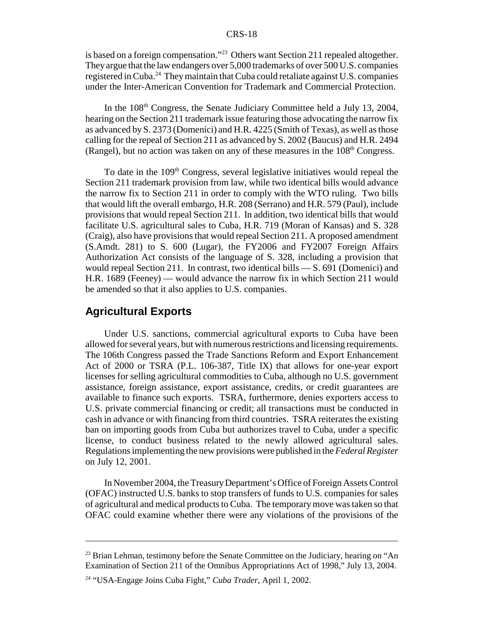is based on a foreign compensation."23 Others want Section 211 repealed altogether. They argue that the law endangers over 5,000 trademarks of over 500 U.S. companies registered in Cuba.24 They maintain that Cuba could retaliate against U.S. companies under the Inter-American Convention for Trademark and Commercial Protection.

In the 108<sup>th</sup> Congress, the Senate Judiciary Committee held a July 13, 2004, hearing on the Section 211 trademark issue featuring those advocating the narrow fix as advanced by S. 2373 (Domenici) and H.R. 4225 (Smith of Texas), as well as those calling for the repeal of Section 211 as advanced by S. 2002 (Baucus) and H.R. 2494 (Rangel), but no action was taken on any of these measures in the  $108<sup>th</sup>$  Congress.

To date in the  $109<sup>th</sup>$  Congress, several legislative initiatives would repeal the Section 211 trademark provision from law, while two identical bills would advance the narrow fix to Section 211 in order to comply with the WTO ruling. Two bills that would lift the overall embargo, H.R. 208 (Serrano) and H.R. 579 (Paul), include provisions that would repeal Section 211. In addition, two identical bills that would facilitate U.S. agricultural sales to Cuba, H.R. 719 (Moran of Kansas) and S. 328 (Craig), also have provisions that would repeal Section 211. A proposed amendment (S.Amdt. 281) to S. 600 (Lugar), the FY2006 and FY2007 Foreign Affairs Authorization Act consists of the language of S. 328, including a provision that would repeal Section 211. In contrast, two identical bills — S. 691 (Domenici) and H.R. 1689 (Feeney) — would advance the narrow fix in which Section 211 would be amended so that it also applies to U.S. companies.

### **Agricultural Exports**

Under U.S. sanctions, commercial agricultural exports to Cuba have been allowed for several years, but with numerous restrictions and licensing requirements. The 106th Congress passed the Trade Sanctions Reform and Export Enhancement Act of 2000 or TSRA (P.L. 106-387, Title IX) that allows for one-year export licenses for selling agricultural commodities to Cuba, although no U.S. government assistance, foreign assistance, export assistance, credits, or credit guarantees are available to finance such exports. TSRA, furthermore, denies exporters access to U.S. private commercial financing or credit; all transactions must be conducted in cash in advance or with financing from third countries. TSRA reiterates the existing ban on importing goods from Cuba but authorizes travel to Cuba, under a specific license, to conduct business related to the newly allowed agricultural sales. Regulations implementing the new provisions were published in the *Federal Register* on July 12, 2001.

In November 2004, the Treasury Department's Office of Foreign Assets Control (OFAC) instructed U.S. banks to stop transfers of funds to U.S. companies for sales of agricultural and medical products to Cuba. The temporary move was taken so that OFAC could examine whether there were any violations of the provisions of the

<sup>&</sup>lt;sup>23</sup> Brian Lehman, testimony before the Senate Committee on the Judiciary, hearing on "An Examination of Section 211 of the Omnibus Appropriations Act of 1998," July 13, 2004.

<sup>24 &</sup>quot;USA-Engage Joins Cuba Fight," *Cuba Trader*, April 1, 2002.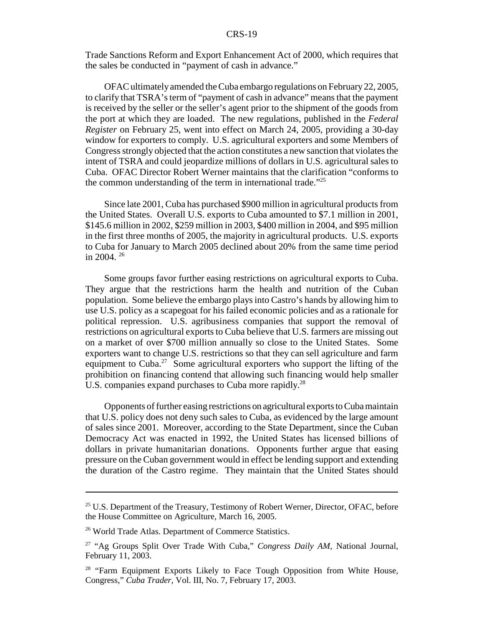Trade Sanctions Reform and Export Enhancement Act of 2000, which requires that the sales be conducted in "payment of cash in advance."

OFAC ultimately amended the Cuba embargo regulations on February 22, 2005, to clarify that TSRA's term of "payment of cash in advance" means that the payment is received by the seller or the seller's agent prior to the shipment of the goods from the port at which they are loaded. The new regulations, published in the *Federal Register* on February 25, went into effect on March 24, 2005, providing a 30-day window for exporters to comply. U.S. agricultural exporters and some Members of Congress strongly objected that the action constitutes a new sanction that violates the intent of TSRA and could jeopardize millions of dollars in U.S. agricultural sales to Cuba. OFAC Director Robert Werner maintains that the clarification "conforms to the common understanding of the term in international trade."25

Since late 2001, Cuba has purchased \$900 million in agricultural products from the United States. Overall U.S. exports to Cuba amounted to \$7.1 million in 2001, \$145.6 million in 2002, \$259 million in 2003, \$400 million in 2004, and \$95 million in the first three months of 2005, the majority in agricultural products. U.S. exports to Cuba for January to March 2005 declined about 20% from the same time period in 2004. 26

Some groups favor further easing restrictions on agricultural exports to Cuba. They argue that the restrictions harm the health and nutrition of the Cuban population. Some believe the embargo plays into Castro's hands by allowing him to use U.S. policy as a scapegoat for his failed economic policies and as a rationale for political repression. U.S. agribusiness companies that support the removal of restrictions on agricultural exports to Cuba believe that U.S. farmers are missing out on a market of over \$700 million annually so close to the United States. Some exporters want to change U.S. restrictions so that they can sell agriculture and farm equipment to Cuba.<sup>27</sup> Some agricultural exporters who support the lifting of the prohibition on financing contend that allowing such financing would help smaller U.S. companies expand purchases to Cuba more rapidly.<sup>28</sup>

Opponents of further easing restrictions on agricultural exports to Cuba maintain that U.S. policy does not deny such sales to Cuba, as evidenced by the large amount of sales since 2001. Moreover, according to the State Department, since the Cuban Democracy Act was enacted in 1992, the United States has licensed billions of dollars in private humanitarian donations. Opponents further argue that easing pressure on the Cuban government would in effect be lending support and extending the duration of the Castro regime. They maintain that the United States should

<sup>&</sup>lt;sup>25</sup> U.S. Department of the Treasury, Testimony of Robert Werner, Director, OFAC, before the House Committee on Agriculture, March 16, 2005.

<sup>26</sup> World Trade Atlas. Department of Commerce Statistics.

<sup>27 &</sup>quot;Ag Groups Split Over Trade With Cuba," *Congress Daily AM*, National Journal, February 11, 2003.

<sup>&</sup>lt;sup>28</sup> "Farm Equipment Exports Likely to Face Tough Opposition from White House, Congress," *Cuba Trader*, Vol. III, No. 7, February 17, 2003.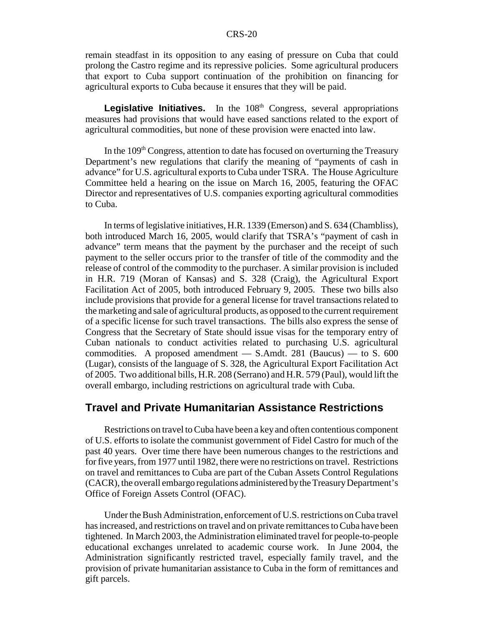remain steadfast in its opposition to any easing of pressure on Cuba that could prolong the Castro regime and its repressive policies. Some agricultural producers that export to Cuba support continuation of the prohibition on financing for agricultural exports to Cuba because it ensures that they will be paid.

Legislative Initiatives. In the 108<sup>th</sup> Congress, several appropriations measures had provisions that would have eased sanctions related to the export of agricultural commodities, but none of these provision were enacted into law.

In the  $109<sup>th</sup>$  Congress, attention to date has focused on overturning the Treasury Department's new regulations that clarify the meaning of "payments of cash in advance" for U.S. agricultural exports to Cuba under TSRA. The House Agriculture Committee held a hearing on the issue on March 16, 2005, featuring the OFAC Director and representatives of U.S. companies exporting agricultural commodities to Cuba.

In terms of legislative initiatives, H.R. 1339 (Emerson) and S. 634 (Chambliss), both introduced March 16, 2005, would clarify that TSRA's "payment of cash in advance" term means that the payment by the purchaser and the receipt of such payment to the seller occurs prior to the transfer of title of the commodity and the release of control of the commodity to the purchaser. A similar provision is included in H.R. 719 (Moran of Kansas) and S. 328 (Craig), the Agricultural Export Facilitation Act of 2005, both introduced February 9, 2005. These two bills also include provisions that provide for a general license for travel transactions related to the marketing and sale of agricultural products, as opposed to the current requirement of a specific license for such travel transactions. The bills also express the sense of Congress that the Secretary of State should issue visas for the temporary entry of Cuban nationals to conduct activities related to purchasing U.S. agricultural commodities. A proposed amendment — S.Amdt. 281 (Baucus) — to S. 600 (Lugar), consists of the language of S. 328, the Agricultural Export Facilitation Act of 2005. Two additional bills, H.R. 208 (Serrano) and H.R. 579 (Paul), would lift the overall embargo, including restrictions on agricultural trade with Cuba.

### **Travel and Private Humanitarian Assistance Restrictions**

Restrictions on travel to Cuba have been a key and often contentious component of U.S. efforts to isolate the communist government of Fidel Castro for much of the past 40 years. Over time there have been numerous changes to the restrictions and for five years, from 1977 until 1982, there were no restrictions on travel. Restrictions on travel and remittances to Cuba are part of the Cuban Assets Control Regulations (CACR), the overall embargo regulations administered by the Treasury Department's Office of Foreign Assets Control (OFAC).

Under the Bush Administration, enforcement of U.S. restrictions on Cuba travel has increased, and restrictions on travel and on private remittances to Cuba have been tightened. In March 2003, the Administration eliminated travel for people-to-people educational exchanges unrelated to academic course work. In June 2004, the Administration significantly restricted travel, especially family travel, and the provision of private humanitarian assistance to Cuba in the form of remittances and gift parcels.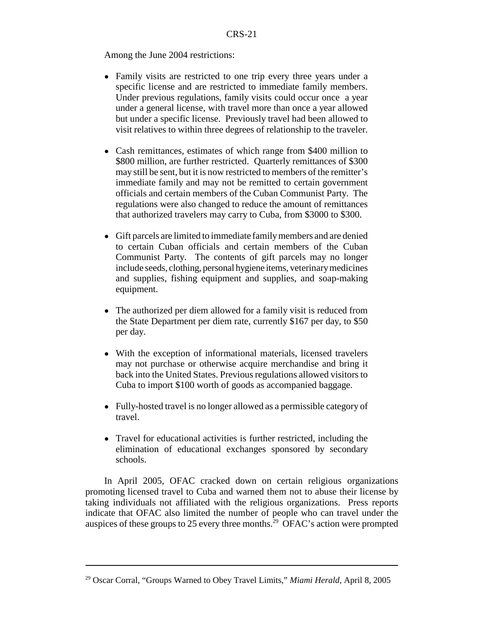Among the June 2004 restrictions:

- Family visits are restricted to one trip every three years under a specific license and are restricted to immediate family members. Under previous regulations, family visits could occur once a year under a general license, with travel more than once a year allowed but under a specific license. Previously travel had been allowed to visit relatives to within three degrees of relationship to the traveler.
- Cash remittances, estimates of which range from \$400 million to \$800 million, are further restricted. Quarterly remittances of \$300 may still be sent, but it is now restricted to members of the remitter's immediate family and may not be remitted to certain government officials and certain members of the Cuban Communist Party. The regulations were also changed to reduce the amount of remittances that authorized travelers may carry to Cuba, from \$3000 to \$300.
- ! Gift parcels are limited to immediate family members and are denied to certain Cuban officials and certain members of the Cuban Communist Party. The contents of gift parcels may no longer include seeds, clothing, personal hygiene items, veterinary medicines and supplies, fishing equipment and supplies, and soap-making equipment.
- The authorized per diem allowed for a family visit is reduced from the State Department per diem rate, currently \$167 per day, to \$50 per day.
- With the exception of informational materials, licensed travelers may not purchase or otherwise acquire merchandise and bring it back into the United States. Previous regulations allowed visitors to Cuba to import \$100 worth of goods as accompanied baggage.
- Fully-hosted travel is no longer allowed as a permissible category of travel.
- Travel for educational activities is further restricted, including the elimination of educational exchanges sponsored by secondary schools.

In April 2005, OFAC cracked down on certain religious organizations promoting licensed travel to Cuba and warned them not to abuse their license by taking individuals not affiliated with the religious organizations. Press reports indicate that OFAC also limited the number of people who can travel under the auspices of these groups to 25 every three months.<sup>29</sup> OFAC's action were prompted

<sup>29</sup> Oscar Corral, "Groups Warned to Obey Travel Limits," *Miami Herald*, April 8, 2005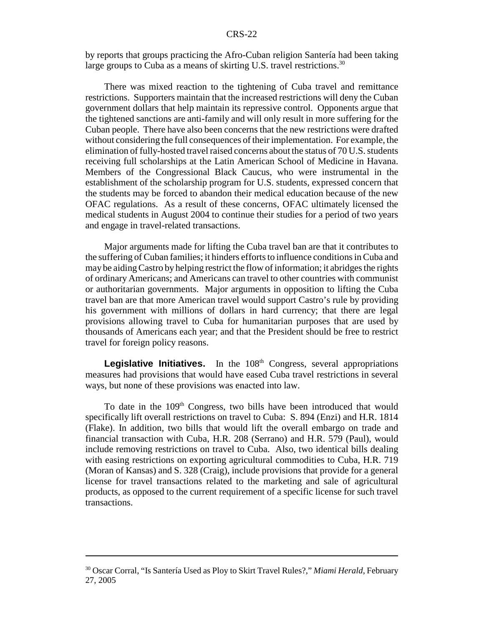by reports that groups practicing the Afro-Cuban religion Santería had been taking large groups to Cuba as a means of skirting U.S. travel restrictions.<sup>30</sup>

There was mixed reaction to the tightening of Cuba travel and remittance restrictions. Supporters maintain that the increased restrictions will deny the Cuban government dollars that help maintain its repressive control. Opponents argue that the tightened sanctions are anti-family and will only result in more suffering for the Cuban people. There have also been concerns that the new restrictions were drafted without considering the full consequences of their implementation. For example, the elimination of fully-hosted travel raised concerns about the status of 70 U.S. students receiving full scholarships at the Latin American School of Medicine in Havana. Members of the Congressional Black Caucus, who were instrumental in the establishment of the scholarship program for U.S. students, expressed concern that the students may be forced to abandon their medical education because of the new OFAC regulations. As a result of these concerns, OFAC ultimately licensed the medical students in August 2004 to continue their studies for a period of two years and engage in travel-related transactions.

Major arguments made for lifting the Cuba travel ban are that it contributes to the suffering of Cuban families; it hinders efforts to influence conditions in Cuba and may be aiding Castro by helping restrict the flow of information; it abridges the rights of ordinary Americans; and Americans can travel to other countries with communist or authoritarian governments. Major arguments in opposition to lifting the Cuba travel ban are that more American travel would support Castro's rule by providing his government with millions of dollars in hard currency; that there are legal provisions allowing travel to Cuba for humanitarian purposes that are used by thousands of Americans each year; and that the President should be free to restrict travel for foreign policy reasons.

**Legislative Initiatives.** In the 108<sup>th</sup> Congress, several appropriations measures had provisions that would have eased Cuba travel restrictions in several ways, but none of these provisions was enacted into law.

To date in the 109<sup>th</sup> Congress, two bills have been introduced that would specifically lift overall restrictions on travel to Cuba: S. 894 (Enzi) and H.R. 1814 (Flake). In addition, two bills that would lift the overall embargo on trade and financial transaction with Cuba, H.R. 208 (Serrano) and H.R. 579 (Paul), would include removing restrictions on travel to Cuba. Also, two identical bills dealing with easing restrictions on exporting agricultural commodities to Cuba, H.R. 719 (Moran of Kansas) and S. 328 (Craig), include provisions that provide for a general license for travel transactions related to the marketing and sale of agricultural products, as opposed to the current requirement of a specific license for such travel transactions.

<sup>30</sup> Oscar Corral, "Is Santería Used as Ploy to Skirt Travel Rules?," *Miami Herald*, February 27, 2005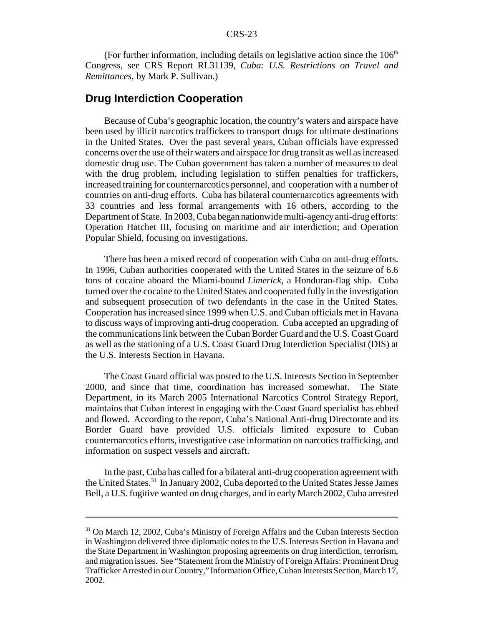(For further information, including details on legislative action since the  $106<sup>th</sup>$ Congress, see CRS Report RL31139, *Cuba: U.S. Restrictions on Travel and Remittances*, by Mark P. Sullivan.)

#### **Drug Interdiction Cooperation**

Because of Cuba's geographic location, the country's waters and airspace have been used by illicit narcotics traffickers to transport drugs for ultimate destinations in the United States. Over the past several years, Cuban officials have expressed concerns over the use of their waters and airspace for drug transit as well as increased domestic drug use. The Cuban government has taken a number of measures to deal with the drug problem, including legislation to stiffen penalties for traffickers, increased training for counternarcotics personnel, and cooperation with a number of countries on anti-drug efforts. Cuba has bilateral counternarcotics agreements with 33 countries and less formal arrangements with 16 others, according to the Department of State. In 2003, Cuba began nationwide multi-agency anti-drug efforts: Operation Hatchet III, focusing on maritime and air interdiction; and Operation Popular Shield, focusing on investigations.

There has been a mixed record of cooperation with Cuba on anti-drug efforts. In 1996, Cuban authorities cooperated with the United States in the seizure of 6.6 tons of cocaine aboard the Miami-bound *Limerick*, a Honduran-flag ship. Cuba turned over the cocaine to the United States and cooperated fully in the investigation and subsequent prosecution of two defendants in the case in the United States. Cooperation has increased since 1999 when U.S. and Cuban officials met in Havana to discuss ways of improving anti-drug cooperation. Cuba accepted an upgrading of the communications link between the Cuban Border Guard and the U.S. Coast Guard as well as the stationing of a U.S. Coast Guard Drug Interdiction Specialist (DIS) at the U.S. Interests Section in Havana.

The Coast Guard official was posted to the U.S. Interests Section in September 2000, and since that time, coordination has increased somewhat. The State Department, in its March 2005 International Narcotics Control Strategy Report, maintains that Cuban interest in engaging with the Coast Guard specialist has ebbed and flowed. According to the report, Cuba's National Anti-drug Directorate and its Border Guard have provided U.S. officials limited exposure to Cuban counternarcotics efforts, investigative case information on narcotics trafficking, and information on suspect vessels and aircraft.

In the past, Cuba has called for a bilateral anti-drug cooperation agreement with the United States.31 In January 2002, Cuba deported to the United States Jesse James Bell, a U.S. fugitive wanted on drug charges, and in early March 2002, Cuba arrested

<sup>&</sup>lt;sup>31</sup> On March 12, 2002, Cuba's Ministry of Foreign Affairs and the Cuban Interests Section in Washington delivered three diplomatic notes to the U.S. Interests Section in Havana and the State Department in Washington proposing agreements on drug interdiction, terrorism, and migration issues. See "Statement from the Ministry of Foreign Affairs: Prominent Drug Trafficker Arrested in our Country," Information Office, Cuban Interests Section, March 17, 2002.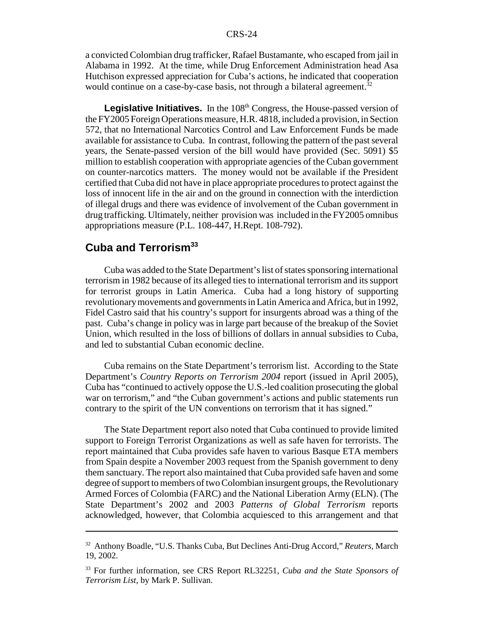a convicted Colombian drug trafficker, Rafael Bustamante, who escaped from jail in Alabama in 1992. At the time, while Drug Enforcement Administration head Asa Hutchison expressed appreciation for Cuba's actions, he indicated that cooperation would continue on a case-by-case basis, not through a bilateral agreement.<sup>32</sup>

Legislative Initiatives. In the 108<sup>th</sup> Congress, the House-passed version of the FY2005 Foreign Operations measure, H.R. 4818, included a provision, in Section 572, that no International Narcotics Control and Law Enforcement Funds be made available for assistance to Cuba. In contrast, following the pattern of the past several years, the Senate-passed version of the bill would have provided (Sec. 5091) \$5 million to establish cooperation with appropriate agencies of the Cuban government on counter-narcotics matters. The money would not be available if the President certified that Cuba did not have in place appropriate procedures to protect against the loss of innocent life in the air and on the ground in connection with the interdiction of illegal drugs and there was evidence of involvement of the Cuban government in drug trafficking. Ultimately, neither provision was included in the FY2005 omnibus appropriations measure (P.L. 108-447, H.Rept. 108-792).

# **Cuba and Terrorism33**

Cuba was added to the State Department's list of states sponsoring international terrorism in 1982 because of its alleged ties to international terrorism and its support for terrorist groups in Latin America. Cuba had a long history of supporting revolutionary movements and governments in Latin America and Africa, but in 1992, Fidel Castro said that his country's support for insurgents abroad was a thing of the past. Cuba's change in policy was in large part because of the breakup of the Soviet Union, which resulted in the loss of billions of dollars in annual subsidies to Cuba, and led to substantial Cuban economic decline.

Cuba remains on the State Department's terrorism list. According to the State Department's *Country Reports on Terrorism 2004* report (issued in April 2005), Cuba has "continued to actively oppose the U.S.-led coalition prosecuting the global war on terrorism," and "the Cuban government's actions and public statements run contrary to the spirit of the UN conventions on terrorism that it has signed."

The State Department report also noted that Cuba continued to provide limited support to Foreign Terrorist Organizations as well as safe haven for terrorists. The report maintained that Cuba provides safe haven to various Basque ETA members from Spain despite a November 2003 request from the Spanish government to deny them sanctuary. The report also maintained that Cuba provided safe haven and some degree of support to members of two Colombian insurgent groups, the Revolutionary Armed Forces of Colombia (FARC) and the National Liberation Army (ELN). (The State Department's 2002 and 2003 *Patterns of Global Terrorism* reports acknowledged, however, that Colombia acquiesced to this arrangement and that

<sup>32</sup> Anthony Boadle, "U.S. Thanks Cuba, But Declines Anti-Drug Accord," *Reuters,* March 19, 2002.

<sup>33</sup> For further information, see CRS Report RL32251, *Cuba and the State Sponsors of Terrorism List*, by Mark P. Sullivan.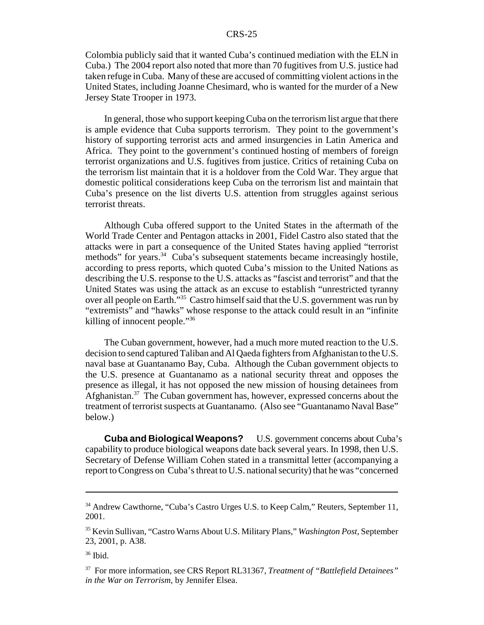Colombia publicly said that it wanted Cuba's continued mediation with the ELN in Cuba.) The 2004 report also noted that more than 70 fugitives from U.S. justice had taken refuge in Cuba. Many of these are accused of committing violent actions in the United States, including Joanne Chesimard, who is wanted for the murder of a New Jersey State Trooper in 1973.

In general, those who support keeping Cuba on the terrorism list argue that there is ample evidence that Cuba supports terrorism. They point to the government's history of supporting terrorist acts and armed insurgencies in Latin America and Africa. They point to the government's continued hosting of members of foreign terrorist organizations and U.S. fugitives from justice. Critics of retaining Cuba on the terrorism list maintain that it is a holdover from the Cold War. They argue that domestic political considerations keep Cuba on the terrorism list and maintain that Cuba's presence on the list diverts U.S. attention from struggles against serious terrorist threats.

Although Cuba offered support to the United States in the aftermath of the World Trade Center and Pentagon attacks in 2001, Fidel Castro also stated that the attacks were in part a consequence of the United States having applied "terrorist methods" for years.<sup>34</sup> Cuba's subsequent statements became increasingly hostile, according to press reports, which quoted Cuba's mission to the United Nations as describing the U.S. response to the U.S. attacks as "fascist and terrorist" and that the United States was using the attack as an excuse to establish "unrestricted tyranny over all people on Earth."35 Castro himself said that the U.S. government was run by "extremists" and "hawks" whose response to the attack could result in an "infinite killing of innocent people."<sup>36</sup>

The Cuban government, however, had a much more muted reaction to the U.S. decision to send captured Taliban and Al Qaeda fighters from Afghanistan to the U.S. naval base at Guantanamo Bay, Cuba. Although the Cuban government objects to the U.S. presence at Guantanamo as a national security threat and opposes the presence as illegal, it has not opposed the new mission of housing detainees from Afghanistan.<sup>37</sup> The Cuban government has, however, expressed concerns about the treatment of terrorist suspects at Guantanamo. (Also see "Guantanamo Naval Base" below.)

**Cuba and Biological Weapons?** U.S. government concerns about Cuba's capability to produce biological weapons date back several years. In 1998, then U.S. Secretary of Defense William Cohen stated in a transmittal letter (accompanying a report to Congress on Cuba's threat to U.S. national security) that he was "concerned

<sup>&</sup>lt;sup>34</sup> Andrew Cawthorne, "Cuba's Castro Urges U.S. to Keep Calm," Reuters, September 11, 2001.

<sup>35</sup> Kevin Sullivan, "Castro Warns About U.S. Military Plans," *Washington Post*, September 23, 2001, p. A38.

<sup>36</sup> Ibid.

<sup>37</sup> For more information, see CRS Report RL31367, *Treatment of "Battlefield Detainees" in the War on Terrorism*, by Jennifer Elsea.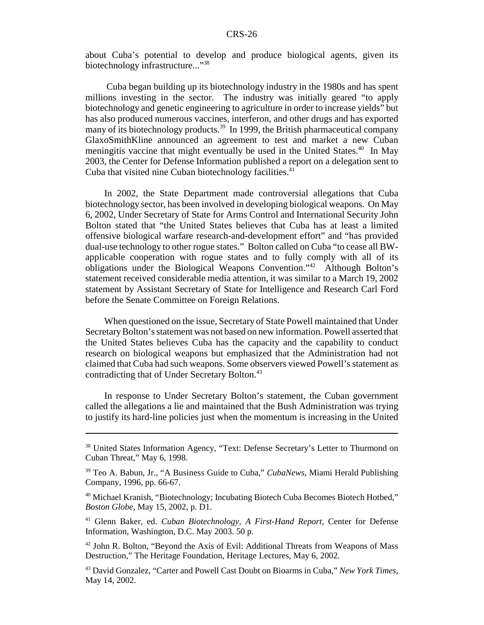about Cuba's potential to develop and produce biological agents, given its biotechnology infrastructure..."<sup>38</sup>

 Cuba began building up its biotechnology industry in the 1980s and has spent millions investing in the sector. The industry was initially geared "to apply biotechnology and genetic engineering to agriculture in order to increase yields" but has also produced numerous vaccines, interferon, and other drugs and has exported many of its biotechnology products.<sup>39</sup> In 1999, the British pharmaceutical company GlaxoSmithKline announced an agreement to test and market a new Cuban meningitis vaccine that might eventually be used in the United States.<sup>40</sup> In May 2003, the Center for Defense Information published a report on a delegation sent to Cuba that visited nine Cuban biotechnology facilities.<sup>41</sup>

In 2002, the State Department made controversial allegations that Cuba biotechnology sector, has been involved in developing biological weapons. On May 6, 2002, Under Secretary of State for Arms Control and International Security John Bolton stated that "the United States believes that Cuba has at least a limited offensive biological warfare research-and-development effort" and "has provided dual-use technology to other rogue states." Bolton called on Cuba "to cease all BWapplicable cooperation with rogue states and to fully comply with all of its obligations under the Biological Weapons Convention."42 Although Bolton's statement received considerable media attention, it was similar to a March 19, 2002 statement by Assistant Secretary of State for Intelligence and Research Carl Ford before the Senate Committee on Foreign Relations.

When questioned on the issue, Secretary of State Powell maintained that Under Secretary Bolton's statement was not based on new information. Powell asserted that the United States believes Cuba has the capacity and the capability to conduct research on biological weapons but emphasized that the Administration had not claimed that Cuba had such weapons. Some observers viewed Powell's statement as contradicting that of Under Secretary Bolton.<sup>43</sup>

In response to Under Secretary Bolton's statement, the Cuban government called the allegations a lie and maintained that the Bush Administration was trying to justify its hard-line policies just when the momentum is increasing in the United

<sup>&</sup>lt;sup>38</sup> United States Information Agency, "Text: Defense Secretary's Letter to Thurmond on Cuban Threat," May 6, 1998.

<sup>39</sup> Teo A. Babun, Jr., "A Business Guide to Cuba," *CubaNews*, Miami Herald Publishing Company, 1996, pp. 66-67.

<sup>40</sup> Michael Kranish, "Biotechnology; Incubating Biotech Cuba Becomes Biotech Hotbed," *Boston Globe*, May 15, 2002, p. D1.

<sup>41</sup> Glenn Baker, ed. *Cuban Biotechnology, A First-Hand Report*, Center for Defense Information, Washington, D.C. May 2003. 50 p.

<sup>42</sup> John R. Bolton, "Beyond the Axis of Evil: Additional Threats from Weapons of Mass Destruction," The Heritage Foundation, Heritage Lectures, May 6, 2002.

<sup>43</sup> David Gonzalez, "Carter and Powell Cast Doubt on Bioarms in Cuba," *New York Times*, May 14, 2002.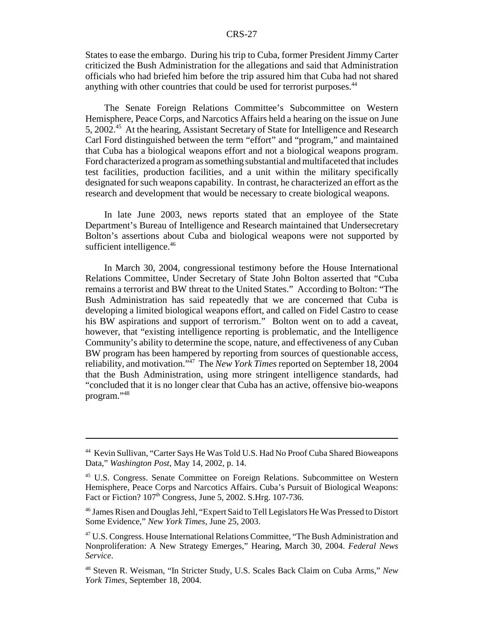States to ease the embargo. During his trip to Cuba, former President Jimmy Carter criticized the Bush Administration for the allegations and said that Administration officials who had briefed him before the trip assured him that Cuba had not shared anything with other countries that could be used for terrorist purposes.<sup>44</sup>

The Senate Foreign Relations Committee's Subcommittee on Western Hemisphere, Peace Corps, and Narcotics Affairs held a hearing on the issue on June 5, 2002.45 At the hearing, Assistant Secretary of State for Intelligence and Research Carl Ford distinguished between the term "effort" and "program," and maintained that Cuba has a biological weapons effort and not a biological weapons program. Ford characterized a program as something substantial and multifaceted that includes test facilities, production facilities, and a unit within the military specifically designated for such weapons capability. In contrast, he characterized an effort as the research and development that would be necessary to create biological weapons.

In late June 2003, news reports stated that an employee of the State Department's Bureau of Intelligence and Research maintained that Undersecretary Bolton's assertions about Cuba and biological weapons were not supported by sufficient intelligence.<sup>46</sup>

In March 30, 2004, congressional testimony before the House International Relations Committee, Under Secretary of State John Bolton asserted that "Cuba remains a terrorist and BW threat to the United States." According to Bolton: "The Bush Administration has said repeatedly that we are concerned that Cuba is developing a limited biological weapons effort, and called on Fidel Castro to cease his BW aspirations and support of terrorism." Bolton went on to add a caveat, however, that "existing intelligence reporting is problematic, and the Intelligence Community's ability to determine the scope, nature, and effectiveness of any Cuban BW program has been hampered by reporting from sources of questionable access, reliability, and motivation."47 The *New York Times* reported on September 18, 2004 that the Bush Administration, using more stringent intelligence standards, had "concluded that it is no longer clear that Cuba has an active, offensive bio-weapons program."48

<sup>44</sup> Kevin Sullivan, "Carter Says He Was Told U.S. Had No Proof Cuba Shared Bioweapons Data," *Washington Post*, May 14, 2002, p. 14.

<sup>&</sup>lt;sup>45</sup> U.S. Congress. Senate Committee on Foreign Relations. Subcommittee on Western Hemisphere, Peace Corps and Narcotics Affairs. Cuba's Pursuit of Biological Weapons: Fact or Fiction? 107<sup>th</sup> Congress, June 5, 2002. S.Hrg. 107-736.

<sup>46</sup> James Risen and Douglas Jehl, "Expert Said to Tell Legislators He Was Pressed to Distort Some Evidence," *New York Times*, June 25, 2003.

<sup>47</sup> U.S. Congress. House International Relations Committee, "The Bush Administration and Nonproliferation: A New Strategy Emerges," Hearing, March 30, 2004. *Federal News Service*.

<sup>48</sup> Steven R. Weisman, "In Stricter Study, U.S. Scales Back Claim on Cuba Arms," *New York Times*, September 18, 2004.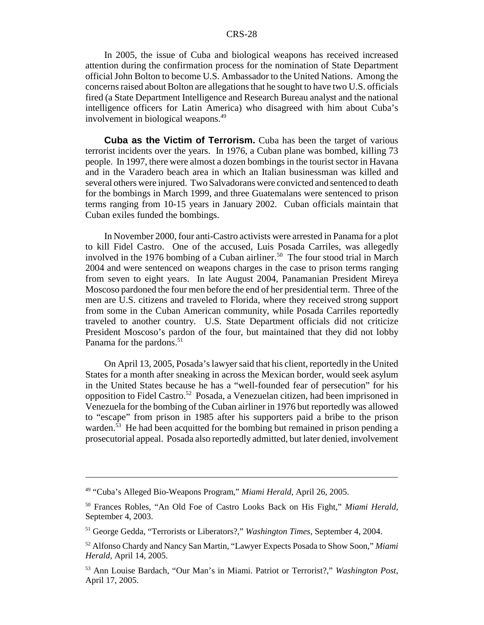In 2005, the issue of Cuba and biological weapons has received increased attention during the confirmation process for the nomination of State Department official John Bolton to become U.S. Ambassador to the United Nations. Among the concerns raised about Bolton are allegations that he sought to have two U.S. officials fired (a State Department Intelligence and Research Bureau analyst and the national intelligence officers for Latin America) who disagreed with him about Cuba's involvement in biological weapons.<sup>49</sup>

**Cuba as the Victim of Terrorism.** Cuba has been the target of various terrorist incidents over the years. In 1976, a Cuban plane was bombed, killing 73 people. In 1997, there were almost a dozen bombings in the tourist sector in Havana and in the Varadero beach area in which an Italian businessman was killed and several others were injured. Two Salvadorans were convicted and sentenced to death for the bombings in March 1999, and three Guatemalans were sentenced to prison terms ranging from 10-15 years in January 2002. Cuban officials maintain that Cuban exiles funded the bombings.

In November 2000, four anti-Castro activists were arrested in Panama for a plot to kill Fidel Castro. One of the accused, Luis Posada Carriles, was allegedly involved in the 1976 bombing of a Cuban airliner.<sup>50</sup> The four stood trial in March 2004 and were sentenced on weapons charges in the case to prison terms ranging from seven to eight years. In late August 2004, Panamanian President Mireya Moscoso pardoned the four men before the end of her presidential term. Three of the men are U.S. citizens and traveled to Florida, where they received strong support from some in the Cuban American community, while Posada Carriles reportedly traveled to another country. U.S. State Department officials did not criticize President Moscoso's pardon of the four, but maintained that they did not lobby Panama for the pardons.<sup>51</sup>

On April 13, 2005, Posada's lawyer said that his client, reportedly in the United States for a month after sneaking in across the Mexican border, would seek asylum in the United States because he has a "well-founded fear of persecution" for his opposition to Fidel Castro.52 Posada, a Venezuelan citizen, had been imprisoned in Venezuela for the bombing of the Cuban airliner in 1976 but reportedly was allowed to "escape" from prison in 1985 after his supporters paid a bribe to the prison warden.<sup>53</sup> He had been acquitted for the bombing but remained in prison pending a prosecutorial appeal. Posada also reportedly admitted, but later denied, involvement

<sup>49 &</sup>quot;Cuba's Alleged Bio-Weapons Program," *Miami Herald*, April 26, 2005.

<sup>50</sup> Frances Robles, "An Old Foe of Castro Looks Back on His Fight," *Miami Herald*, September 4, 2003.

<sup>51</sup> George Gedda, "Terrorists or Liberators?," *Washington Times*, September 4, 2004.

<sup>52</sup> Alfonso Chardy and Nancy San Martin, "Lawyer Expects Posada to Show Soon," *Miami Herald*, April 14, 2005.

<sup>53</sup> Ann Louise Bardach, "Our Man's in Miami. Patriot or Terrorist?," *Washington Post*, April 17, 2005.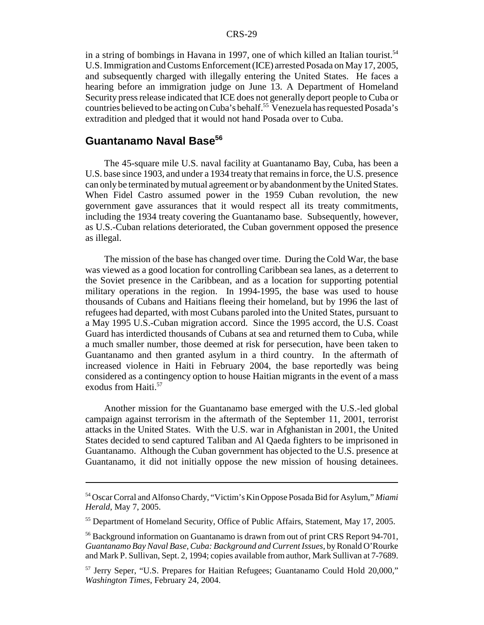in a string of bombings in Havana in 1997, one of which killed an Italian tourist.<sup>54</sup> U.S. Immigration and Customs Enforcement (ICE) arrested Posada on May 17, 2005, and subsequently charged with illegally entering the United States. He faces a hearing before an immigration judge on June 13. A Department of Homeland Security press release indicated that ICE does not generally deport people to Cuba or countries believed to be acting on Cuba's behalf.55 Venezuela has requested Posada's extradition and pledged that it would not hand Posada over to Cuba.

# Guantanamo Naval Base<sup>56</sup>

The 45-square mile U.S. naval facility at Guantanamo Bay, Cuba, has been a U.S. base since 1903, and under a 1934 treaty that remains in force, the U.S. presence can only be terminated by mutual agreement or by abandonment by the United States. When Fidel Castro assumed power in the 1959 Cuban revolution, the new government gave assurances that it would respect all its treaty commitments, including the 1934 treaty covering the Guantanamo base. Subsequently, however, as U.S.-Cuban relations deteriorated, the Cuban government opposed the presence as illegal.

The mission of the base has changed over time. During the Cold War, the base was viewed as a good location for controlling Caribbean sea lanes, as a deterrent to the Soviet presence in the Caribbean, and as a location for supporting potential military operations in the region. In 1994-1995, the base was used to house thousands of Cubans and Haitians fleeing their homeland, but by 1996 the last of refugees had departed, with most Cubans paroled into the United States, pursuant to a May 1995 U.S.-Cuban migration accord. Since the 1995 accord, the U.S. Coast Guard has interdicted thousands of Cubans at sea and returned them to Cuba, while a much smaller number, those deemed at risk for persecution, have been taken to Guantanamo and then granted asylum in a third country. In the aftermath of increased violence in Haiti in February 2004, the base reportedly was being considered as a contingency option to house Haitian migrants in the event of a mass exodus from Haiti.<sup>57</sup>

Another mission for the Guantanamo base emerged with the U.S.-led global campaign against terrorism in the aftermath of the September 11, 2001, terrorist attacks in the United States. With the U.S. war in Afghanistan in 2001, the United States decided to send captured Taliban and Al Qaeda fighters to be imprisoned in Guantanamo. Although the Cuban government has objected to the U.S. presence at Guantanamo, it did not initially oppose the new mission of housing detainees.

<sup>54</sup> Oscar Corral and Alfonso Chardy, "Victim's Kin Oppose Posada Bid for Asylum," *Miami Herald*, May 7, 2005.

<sup>55</sup> Department of Homeland Security, Office of Public Affairs, Statement, May 17, 2005.

<sup>&</sup>lt;sup>56</sup> Background information on Guantanamo is drawn from out of print CRS Report 94-701, *Guantanamo Bay Naval Base, Cuba: Background and Current Issues*, by Ronald O'Rourke and Mark P. Sullivan, Sept. 2, 1994; copies available from author, Mark Sullivan at 7-7689.

<sup>57</sup> Jerry Seper, "U.S. Prepares for Haitian Refugees; Guantanamo Could Hold 20,000," *Washington Times*, February 24, 2004.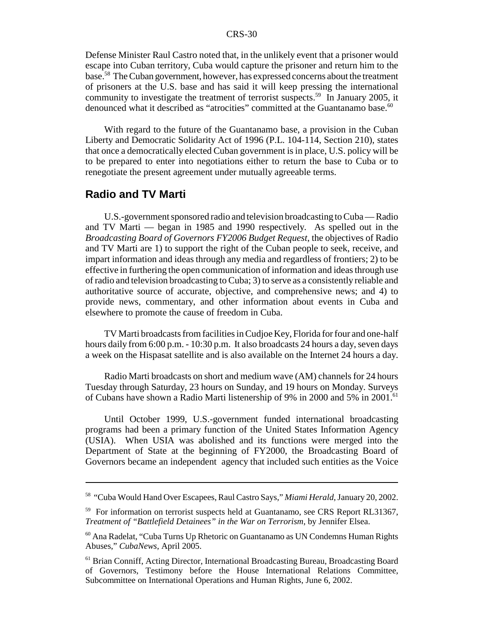Defense Minister Raul Castro noted that, in the unlikely event that a prisoner would escape into Cuban territory, Cuba would capture the prisoner and return him to the base.58 The Cuban government, however, has expressed concerns about the treatment of prisoners at the U.S. base and has said it will keep pressing the international community to investigate the treatment of terrorist suspects.<sup>59</sup> In January 2005, it denounced what it described as "atrocities" committed at the Guantanamo base.<sup>60</sup>

With regard to the future of the Guantanamo base, a provision in the Cuban Liberty and Democratic Solidarity Act of 1996 (P.L. 104-114, Section 210), states that once a democratically elected Cuban government is in place, U.S. policy will be to be prepared to enter into negotiations either to return the base to Cuba or to renegotiate the present agreement under mutually agreeable terms.

# **Radio and TV Marti**

U.S.-government sponsored radio and television broadcasting to Cuba — Radio and TV Marti — began in 1985 and 1990 respectively. As spelled out in the *Broadcasting Board of Governors FY2006 Budget Request*, the objectives of Radio and TV Marti are 1) to support the right of the Cuban people to seek, receive, and impart information and ideas through any media and regardless of frontiers; 2) to be effective in furthering the open communication of information and ideas through use of radio and television broadcasting to Cuba; 3) to serve as a consistently reliable and authoritative source of accurate, objective, and comprehensive news; and 4) to provide news, commentary, and other information about events in Cuba and elsewhere to promote the cause of freedom in Cuba.

TV Marti broadcasts from facilities in Cudjoe Key, Florida for four and one-half hours daily from 6:00 p.m. - 10:30 p.m. It also broadcasts 24 hours a day, seven days a week on the Hispasat satellite and is also available on the Internet 24 hours a day.

Radio Marti broadcasts on short and medium wave (AM) channels for 24 hours Tuesday through Saturday, 23 hours on Sunday, and 19 hours on Monday. Surveys of Cubans have shown a Radio Marti listenership of 9% in 2000 and 5% in 2001.<sup>61</sup>

Until October 1999, U.S.-government funded international broadcasting programs had been a primary function of the United States Information Agency (USIA). When USIA was abolished and its functions were merged into the Department of State at the beginning of FY2000, the Broadcasting Board of Governors became an independent agency that included such entities as the Voice

<sup>58 &</sup>quot;Cuba Would Hand Over Escapees, Raul Castro Says," *Miami Herald*, January 20, 2002.

<sup>&</sup>lt;sup>59</sup> For information on terrorist suspects held at Guantanamo, see CRS Report RL31367, *Treatment of "Battlefield Detainees" in the War on Terrorism*, by Jennifer Elsea.

<sup>60</sup> Ana Radelat, "Cuba Turns Up Rhetoric on Guantanamo as UN Condemns Human Rights Abuses," *CubaNews*, April 2005.

<sup>&</sup>lt;sup>61</sup> Brian Conniff, Acting Director, International Broadcasting Bureau, Broadcasting Board of Governors, Testimony before the House International Relations Committee, Subcommittee on International Operations and Human Rights, June 6, 2002.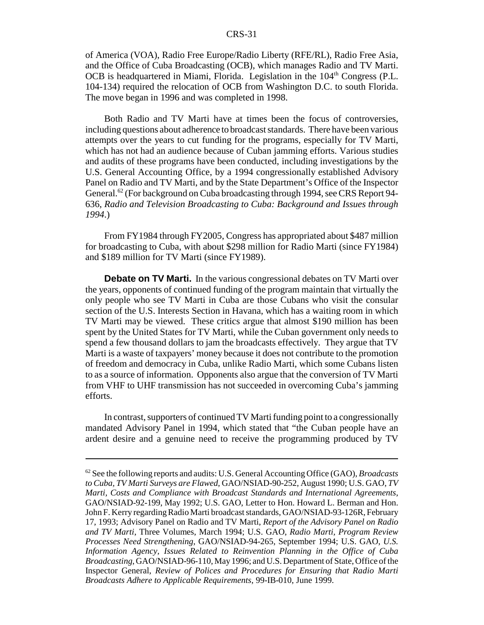of America (VOA), Radio Free Europe/Radio Liberty (RFE/RL), Radio Free Asia, and the Office of Cuba Broadcasting (OCB), which manages Radio and TV Marti. OCB is headquartered in Miami, Florida. Legislation in the 104<sup>th</sup> Congress (P.L. 104-134) required the relocation of OCB from Washington D.C. to south Florida. The move began in 1996 and was completed in 1998.

Both Radio and TV Marti have at times been the focus of controversies, including questions about adherence to broadcast standards. There have been various attempts over the years to cut funding for the programs, especially for TV Marti, which has not had an audience because of Cuban jamming efforts. Various studies and audits of these programs have been conducted, including investigations by the U.S. General Accounting Office, by a 1994 congressionally established Advisory Panel on Radio and TV Marti, and by the State Department's Office of the Inspector General.<sup>62</sup> (For background on Cuba broadcasting through 1994, see CRS Report 94-636, *Radio and Television Broadcasting to Cuba: Background and Issues through 1994*.)

From FY1984 through FY2005, Congress has appropriated about \$487 million for broadcasting to Cuba, with about \$298 million for Radio Marti (since FY1984) and \$189 million for TV Marti (since FY1989).

**Debate on TV Marti.** In the various congressional debates on TV Marti over the years, opponents of continued funding of the program maintain that virtually the only people who see TV Marti in Cuba are those Cubans who visit the consular section of the U.S. Interests Section in Havana, which has a waiting room in which TV Marti may be viewed. These critics argue that almost \$190 million has been spent by the United States for TV Marti, while the Cuban government only needs to spend a few thousand dollars to jam the broadcasts effectively. They argue that TV Marti is a waste of taxpayers' money because it does not contribute to the promotion of freedom and democracy in Cuba, unlike Radio Marti, which some Cubans listen to as a source of information. Opponents also argue that the conversion of TV Marti from VHF to UHF transmission has not succeeded in overcoming Cuba's jamming efforts.

In contrast, supporters of continued TV Marti funding point to a congressionally mandated Advisory Panel in 1994, which stated that "the Cuban people have an ardent desire and a genuine need to receive the programming produced by TV

<sup>62</sup> See the following reports and audits: U.S. General Accounting Office (GAO), *Broadcasts to Cuba, TV Marti Surveys are Flawed*, GAO/NSIAD-90-252, August 1990; U.S. GAO, *TV Marti, Costs and Compliance with Broadcast Standards and International Agreements*, GAO/NSIAD-92-199, May 1992; U.S. GAO, Letter to Hon. Howard L. Berman and Hon. John F. Kerry regarding Radio Marti broadcast standards, GAO/NSIAD-93-126R, February 17, 1993; Advisory Panel on Radio and TV Marti, *Report of the Advisory Panel on Radio and TV Marti*, Three Volumes, March 1994; U.S. GAO, *Radio Marti, Program Review Processes Need Strengthening*, GAO/NSIAD-94-265, September 1994; U.S. GAO, *U.S. Information Agency, Issues Related to Reinvention Planning in the Office of Cuba Broadcasting*, GAO/NSIAD-96-110, May 1996; and U.S. Department of State, Office of the Inspector General, *Review of Polices and Procedures for Ensuring that Radio Marti Broadcasts Adhere to Applicable Requirements*, 99-IB-010, June 1999.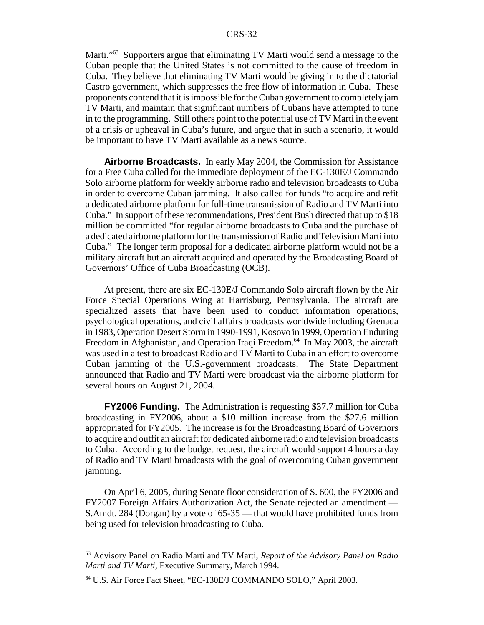Marti."<sup>63</sup> Supporters argue that eliminating TV Marti would send a message to the Cuban people that the United States is not committed to the cause of freedom in Cuba. They believe that eliminating TV Marti would be giving in to the dictatorial Castro government, which suppresses the free flow of information in Cuba. These proponents contend that it is impossible for the Cuban government to completely jam TV Marti, and maintain that significant numbers of Cubans have attempted to tune in to the programming. Still others point to the potential use of TV Marti in the event of a crisis or upheaval in Cuba's future, and argue that in such a scenario, it would be important to have TV Marti available as a news source.

**Airborne Broadcasts.** In early May 2004, the Commission for Assistance for a Free Cuba called for the immediate deployment of the EC-130E/J Commando Solo airborne platform for weekly airborne radio and television broadcasts to Cuba in order to overcome Cuban jamming. It also called for funds "to acquire and refit a dedicated airborne platform for full-time transmission of Radio and TV Marti into Cuba." In support of these recommendations, President Bush directed that up to \$18 million be committed "for regular airborne broadcasts to Cuba and the purchase of a dedicated airborne platform for the transmission of Radio and Television Marti into Cuba." The longer term proposal for a dedicated airborne platform would not be a military aircraft but an aircraft acquired and operated by the Broadcasting Board of Governors' Office of Cuba Broadcasting (OCB).

At present, there are six EC-130E/J Commando Solo aircraft flown by the Air Force Special Operations Wing at Harrisburg, Pennsylvania. The aircraft are specialized assets that have been used to conduct information operations, psychological operations, and civil affairs broadcasts worldwide including Grenada in 1983, Operation Desert Storm in 1990-1991, Kosovo in 1999, Operation Enduring Freedom in Afghanistan, and Operation Iraqi Freedom.<sup>64</sup> In May 2003, the aircraft was used in a test to broadcast Radio and TV Marti to Cuba in an effort to overcome Cuban jamming of the U.S.-government broadcasts. The State Department announced that Radio and TV Marti were broadcast via the airborne platform for several hours on August 21, 2004.

**FY2006 Funding.** The Administration is requesting \$37.7 million for Cuba broadcasting in FY2006, about a \$10 million increase from the \$27.6 million appropriated for FY2005. The increase is for the Broadcasting Board of Governors to acquire and outfit an aircraft for dedicated airborne radio and television broadcasts to Cuba. According to the budget request, the aircraft would support 4 hours a day of Radio and TV Marti broadcasts with the goal of overcoming Cuban government jamming.

On April 6, 2005, during Senate floor consideration of S. 600, the FY2006 and FY2007 Foreign Affairs Authorization Act, the Senate rejected an amendment — S.Amdt. 284 (Dorgan) by a vote of 65-35 — that would have prohibited funds from being used for television broadcasting to Cuba.

<sup>63</sup> Advisory Panel on Radio Marti and TV Marti, *Report of the Advisory Panel on Radio Marti and TV Marti*, Executive Summary, March 1994.

<sup>64</sup> U.S. Air Force Fact Sheet, "EC-130E/J COMMANDO SOLO," April 2003.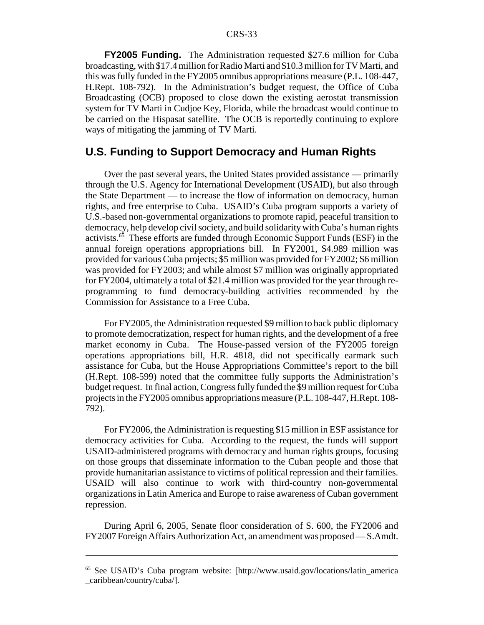**FY2005 Funding.** The Administration requested \$27.6 million for Cuba broadcasting, with \$17.4 million for Radio Marti and \$10.3 million for TV Marti, and this was fully funded in the FY2005 omnibus appropriations measure (P.L. 108-447, H.Rept. 108-792). In the Administration's budget request, the Office of Cuba Broadcasting (OCB) proposed to close down the existing aerostat transmission system for TV Marti in Cudjoe Key, Florida, while the broadcast would continue to be carried on the Hispasat satellite. The OCB is reportedly continuing to explore ways of mitigating the jamming of TV Marti.

## **U.S. Funding to Support Democracy and Human Rights**

Over the past several years, the United States provided assistance — primarily through the U.S. Agency for International Development (USAID), but also through the State Department — to increase the flow of information on democracy, human rights, and free enterprise to Cuba. USAID's Cuba program supports a variety of U.S.-based non-governmental organizations to promote rapid, peaceful transition to democracy, help develop civil society, and build solidarity with Cuba's human rights activists.65 These efforts are funded through Economic Support Funds (ESF) in the annual foreign operations appropriations bill. In FY2001, \$4.989 million was provided for various Cuba projects; \$5 million was provided for FY2002; \$6 million was provided for FY2003; and while almost \$7 million was originally appropriated for FY2004, ultimately a total of \$21.4 million was provided for the year through reprogramming to fund democracy-building activities recommended by the Commission for Assistance to a Free Cuba.

For FY2005, the Administration requested \$9 million to back public diplomacy to promote democratization, respect for human rights, and the development of a free market economy in Cuba. The House-passed version of the FY2005 foreign operations appropriations bill, H.R. 4818, did not specifically earmark such assistance for Cuba, but the House Appropriations Committee's report to the bill (H.Rept. 108-599) noted that the committee fully supports the Administration's budget request. In final action, Congress fully funded the \$9 million request for Cuba projects in the FY2005 omnibus appropriations measure (P.L. 108-447, H.Rept. 108- 792).

For FY2006, the Administration is requesting \$15 million in ESF assistance for democracy activities for Cuba. According to the request, the funds will support USAID-administered programs with democracy and human rights groups, focusing on those groups that disseminate information to the Cuban people and those that provide humanitarian assistance to victims of political repression and their families. USAID will also continue to work with third-country non-governmental organizations in Latin America and Europe to raise awareness of Cuban government repression.

During April 6, 2005, Senate floor consideration of S. 600, the FY2006 and FY2007 Foreign Affairs Authorization Act, an amendment was proposed — S.Amdt.

<sup>65</sup> See USAID's Cuba program website: [http://www.usaid.gov/locations/latin\_america \_caribbean/country/cuba/].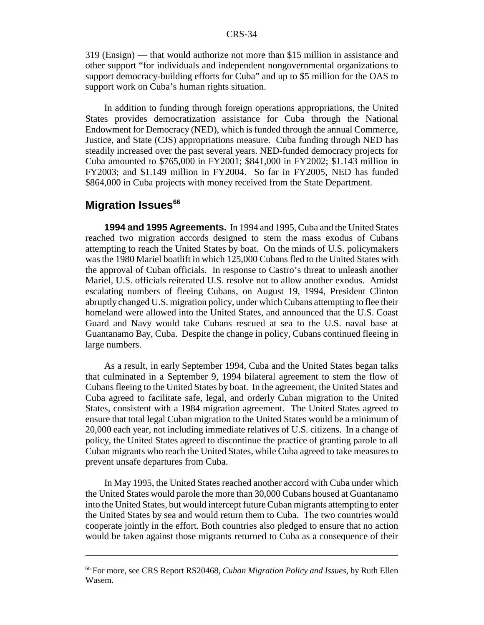319 (Ensign) — that would authorize not more than \$15 million in assistance and other support "for individuals and independent nongovernmental organizations to support democracy-building efforts for Cuba" and up to \$5 million for the OAS to support work on Cuba's human rights situation.

In addition to funding through foreign operations appropriations, the United States provides democratization assistance for Cuba through the National Endowment for Democracy (NED), which is funded through the annual Commerce, Justice, and State (CJS) appropriations measure. Cuba funding through NED has steadily increased over the past several years. NED-funded democracy projects for Cuba amounted to \$765,000 in FY2001; \$841,000 in FY2002; \$1.143 million in FY2003; and \$1.149 million in FY2004. So far in FY2005, NED has funded \$864,000 in Cuba projects with money received from the State Department.

# **Migration Issues<sup>66</sup>**

**1994 and 1995 Agreements.** In 1994 and 1995, Cuba and the United States reached two migration accords designed to stem the mass exodus of Cubans attempting to reach the United States by boat. On the minds of U.S. policymakers was the 1980 Mariel boatlift in which 125,000 Cubans fled to the United States with the approval of Cuban officials. In response to Castro's threat to unleash another Mariel, U.S. officials reiterated U.S. resolve not to allow another exodus. Amidst escalating numbers of fleeing Cubans, on August 19, 1994, President Clinton abruptly changed U.S. migration policy, under which Cubans attempting to flee their homeland were allowed into the United States, and announced that the U.S. Coast Guard and Navy would take Cubans rescued at sea to the U.S. naval base at Guantanamo Bay, Cuba. Despite the change in policy, Cubans continued fleeing in large numbers.

As a result, in early September 1994, Cuba and the United States began talks that culminated in a September 9, 1994 bilateral agreement to stem the flow of Cubans fleeing to the United States by boat. In the agreement, the United States and Cuba agreed to facilitate safe, legal, and orderly Cuban migration to the United States, consistent with a 1984 migration agreement. The United States agreed to ensure that total legal Cuban migration to the United States would be a minimum of 20,000 each year, not including immediate relatives of U.S. citizens. In a change of policy, the United States agreed to discontinue the practice of granting parole to all Cuban migrants who reach the United States, while Cuba agreed to take measures to prevent unsafe departures from Cuba.

In May 1995, the United States reached another accord with Cuba under which the United States would parole the more than 30,000 Cubans housed at Guantanamo into the United States, but would intercept future Cuban migrants attempting to enter the United States by sea and would return them to Cuba. The two countries would cooperate jointly in the effort. Both countries also pledged to ensure that no action would be taken against those migrants returned to Cuba as a consequence of their

<sup>66</sup> For more, see CRS Report RS20468, *Cuban Migration Policy and Issues*, by Ruth Ellen Wasem.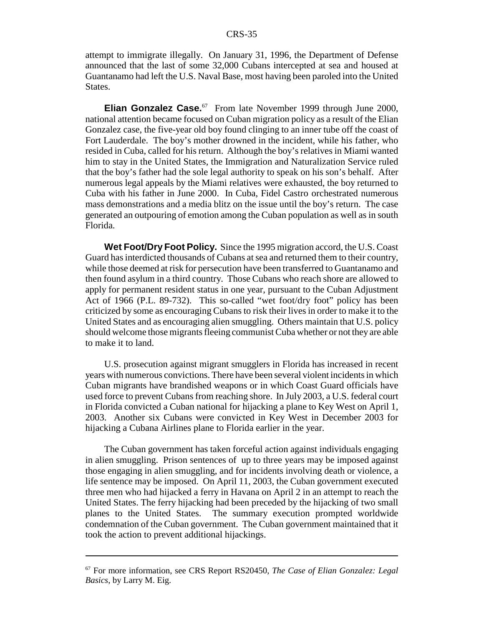attempt to immigrate illegally. On January 31, 1996, the Department of Defense announced that the last of some 32,000 Cubans intercepted at sea and housed at Guantanamo had left the U.S. Naval Base, most having been paroled into the United States.

**Elian Gonzalez Case.**<sup>67</sup> From late November 1999 through June 2000, national attention became focused on Cuban migration policy as a result of the Elian Gonzalez case, the five-year old boy found clinging to an inner tube off the coast of Fort Lauderdale. The boy's mother drowned in the incident, while his father, who resided in Cuba, called for his return. Although the boy's relatives in Miami wanted him to stay in the United States, the Immigration and Naturalization Service ruled that the boy's father had the sole legal authority to speak on his son's behalf. After numerous legal appeals by the Miami relatives were exhausted, the boy returned to Cuba with his father in June 2000. In Cuba, Fidel Castro orchestrated numerous mass demonstrations and a media blitz on the issue until the boy's return. The case generated an outpouring of emotion among the Cuban population as well as in south Florida.

**Wet Foot/Dry Foot Policy.** Since the 1995 migration accord, the U.S. Coast Guard has interdicted thousands of Cubans at sea and returned them to their country, while those deemed at risk for persecution have been transferred to Guantanamo and then found asylum in a third country. Those Cubans who reach shore are allowed to apply for permanent resident status in one year, pursuant to the Cuban Adjustment Act of 1966 (P.L. 89-732). This so-called "wet foot/dry foot" policy has been criticized by some as encouraging Cubans to risk their lives in order to make it to the United States and as encouraging alien smuggling. Others maintain that U.S. policy should welcome those migrants fleeing communist Cuba whether or not they are able to make it to land.

U.S. prosecution against migrant smugglers in Florida has increased in recent years with numerous convictions. There have been several violent incidents in which Cuban migrants have brandished weapons or in which Coast Guard officials have used force to prevent Cubans from reaching shore. In July 2003, a U.S. federal court in Florida convicted a Cuban national for hijacking a plane to Key West on April 1, 2003. Another six Cubans were convicted in Key West in December 2003 for hijacking a Cubana Airlines plane to Florida earlier in the year.

The Cuban government has taken forceful action against individuals engaging in alien smuggling. Prison sentences of up to three years may be imposed against those engaging in alien smuggling, and for incidents involving death or violence, a life sentence may be imposed. On April 11, 2003, the Cuban government executed three men who had hijacked a ferry in Havana on April 2 in an attempt to reach the United States. The ferry hijacking had been preceded by the hijacking of two small planes to the United States. The summary execution prompted worldwide condemnation of the Cuban government. The Cuban government maintained that it took the action to prevent additional hijackings.

<sup>67</sup> For more information, see CRS Report RS20450, *The Case of Elian Gonzalez: Legal Basics*, by Larry M. Eig.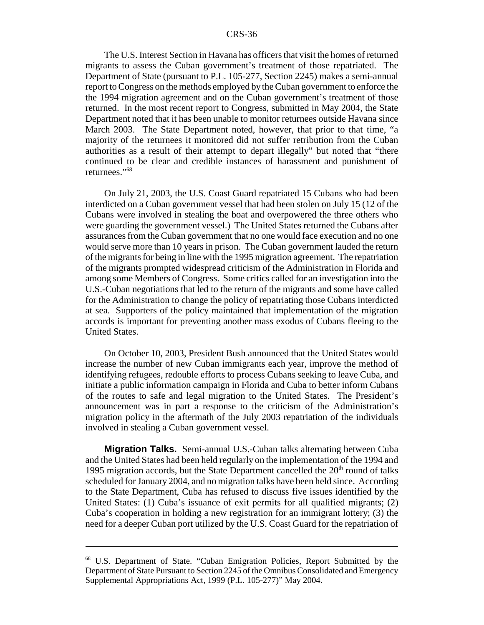The U.S. Interest Section in Havana has officers that visit the homes of returned migrants to assess the Cuban government's treatment of those repatriated. The Department of State (pursuant to P.L. 105-277, Section 2245) makes a semi-annual report to Congress on the methods employed by the Cuban government to enforce the the 1994 migration agreement and on the Cuban government's treatment of those returned. In the most recent report to Congress, submitted in May 2004, the State Department noted that it has been unable to monitor returnees outside Havana since March 2003. The State Department noted, however, that prior to that time, "a majority of the returnees it monitored did not suffer retribution from the Cuban authorities as a result of their attempt to depart illegally" but noted that "there continued to be clear and credible instances of harassment and punishment of returnees."68

On July 21, 2003, the U.S. Coast Guard repatriated 15 Cubans who had been interdicted on a Cuban government vessel that had been stolen on July 15 (12 of the Cubans were involved in stealing the boat and overpowered the three others who were guarding the government vessel.) The United States returned the Cubans after assurances from the Cuban government that no one would face execution and no one would serve more than 10 years in prison. The Cuban government lauded the return of the migrants for being in line with the 1995 migration agreement. The repatriation of the migrants prompted widespread criticism of the Administration in Florida and among some Members of Congress. Some critics called for an investigation into the U.S.-Cuban negotiations that led to the return of the migrants and some have called for the Administration to change the policy of repatriating those Cubans interdicted at sea. Supporters of the policy maintained that implementation of the migration accords is important for preventing another mass exodus of Cubans fleeing to the United States.

On October 10, 2003, President Bush announced that the United States would increase the number of new Cuban immigrants each year, improve the method of identifying refugees, redouble efforts to process Cubans seeking to leave Cuba, and initiate a public information campaign in Florida and Cuba to better inform Cubans of the routes to safe and legal migration to the United States. The President's announcement was in part a response to the criticism of the Administration's migration policy in the aftermath of the July 2003 repatriation of the individuals involved in stealing a Cuban government vessel.

**Migration Talks.** Semi-annual U.S.-Cuban talks alternating between Cuba and the United States had been held regularly on the implementation of the 1994 and 1995 migration accords, but the State Department cancelled the  $20<sup>th</sup>$  round of talks scheduled for January 2004, and no migration talks have been held since. According to the State Department, Cuba has refused to discuss five issues identified by the United States: (1) Cuba's issuance of exit permits for all qualified migrants; (2) Cuba's cooperation in holding a new registration for an immigrant lottery; (3) the need for a deeper Cuban port utilized by the U.S. Coast Guard for the repatriation of

<sup>68</sup> U.S. Department of State. "Cuban Emigration Policies, Report Submitted by the Department of State Pursuant to Section 2245 of the Omnibus Consolidated and Emergency Supplemental Appropriations Act, 1999 (P.L. 105-277)" May 2004.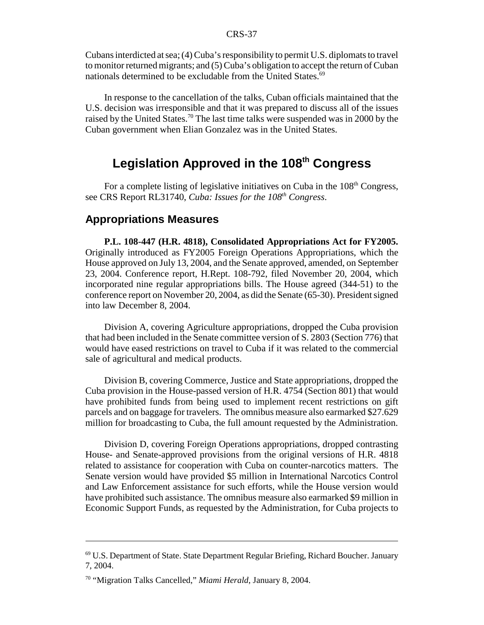Cubans interdicted at sea; (4) Cuba's responsibility to permit U.S. diplomats to travel to monitor returned migrants; and (5) Cuba's obligation to accept the return of Cuban nationals determined to be excludable from the United States. $69$ 

In response to the cancellation of the talks, Cuban officials maintained that the U.S. decision was irresponsible and that it was prepared to discuss all of the issues raised by the United States.<sup>70</sup> The last time talks were suspended was in 2000 by the Cuban government when Elian Gonzalez was in the United States.

# **Legislation Approved in the 108th Congress**

For a complete listing of legislative initiatives on Cuba in the 108<sup>th</sup> Congress, see CRS Report RL31740, *Cuba: Issues for the 108th Congress*.

#### **Appropriations Measures**

**P.L. 108-447 (H.R. 4818), Consolidated Appropriations Act for FY2005.** Originally introduced as FY2005 Foreign Operations Appropriations, which the House approved on July 13, 2004, and the Senate approved, amended, on September 23, 2004. Conference report, H.Rept. 108-792, filed November 20, 2004, which incorporated nine regular appropriations bills. The House agreed (344-51) to the conference report on November 20, 2004, as did the Senate (65-30). President signed into law December 8, 2004.

Division A, covering Agriculture appropriations, dropped the Cuba provision that had been included in the Senate committee version of S. 2803 (Section 776) that would have eased restrictions on travel to Cuba if it was related to the commercial sale of agricultural and medical products.

Division B, covering Commerce, Justice and State appropriations, dropped the Cuba provision in the House-passed version of H.R. 4754 (Section 801) that would have prohibited funds from being used to implement recent restrictions on gift parcels and on baggage for travelers. The omnibus measure also earmarked \$27.629 million for broadcasting to Cuba, the full amount requested by the Administration.

Division D, covering Foreign Operations appropriations, dropped contrasting House- and Senate-approved provisions from the original versions of H.R. 4818 related to assistance for cooperation with Cuba on counter-narcotics matters. The Senate version would have provided \$5 million in International Narcotics Control and Law Enforcement assistance for such efforts, while the House version would have prohibited such assistance. The omnibus measure also earmarked \$9 million in Economic Support Funds, as requested by the Administration, for Cuba projects to

<sup>69</sup> U.S. Department of State. State Department Regular Briefing, Richard Boucher. January 7, 2004.

<sup>70 &</sup>quot;Migration Talks Cancelled," *Miami Herald*, January 8, 2004.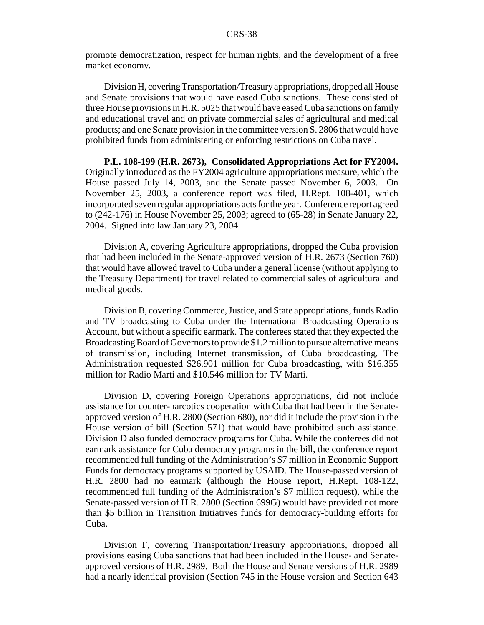promote democratization, respect for human rights, and the development of a free market economy.

Division H, covering Transportation/Treasury appropriations, dropped all House and Senate provisions that would have eased Cuba sanctions. These consisted of three House provisions in H.R. 5025 that would have eased Cuba sanctions on family and educational travel and on private commercial sales of agricultural and medical products; and one Senate provision in the committee version S. 2806 that would have prohibited funds from administering or enforcing restrictions on Cuba travel.

**P.L. 108-199 (H.R. 2673), Consolidated Appropriations Act for FY2004.** Originally introduced as the FY2004 agriculture appropriations measure, which the House passed July 14, 2003, and the Senate passed November 6, 2003. On November 25, 2003, a conference report was filed, H.Rept. 108-401, which incorporated seven regular appropriations acts for the year. Conference report agreed to (242-176) in House November 25, 2003; agreed to (65-28) in Senate January 22, 2004. Signed into law January 23, 2004.

Division A, covering Agriculture appropriations, dropped the Cuba provision that had been included in the Senate-approved version of H.R. 2673 (Section 760) that would have allowed travel to Cuba under a general license (without applying to the Treasury Department) for travel related to commercial sales of agricultural and medical goods.

Division B, covering Commerce, Justice, and State appropriations, funds Radio and TV broadcasting to Cuba under the International Broadcasting Operations Account, but without a specific earmark. The conferees stated that they expected the Broadcasting Board of Governors to provide \$1.2 million to pursue alternative means of transmission, including Internet transmission, of Cuba broadcasting. The Administration requested \$26.901 million for Cuba broadcasting, with \$16.355 million for Radio Marti and \$10.546 million for TV Marti.

Division D, covering Foreign Operations appropriations, did not include assistance for counter-narcotics cooperation with Cuba that had been in the Senateapproved version of H.R. 2800 (Section 680), nor did it include the provision in the House version of bill (Section 571) that would have prohibited such assistance. Division D also funded democracy programs for Cuba. While the conferees did not earmark assistance for Cuba democracy programs in the bill, the conference report recommended full funding of the Administration's \$7 million in Economic Support Funds for democracy programs supported by USAID. The House-passed version of H.R. 2800 had no earmark (although the House report, H.Rept. 108-122, recommended full funding of the Administration's \$7 million request), while the Senate-passed version of H.R. 2800 (Section 699G) would have provided not more than \$5 billion in Transition Initiatives funds for democracy-building efforts for Cuba.

Division F, covering Transportation/Treasury appropriations, dropped all provisions easing Cuba sanctions that had been included in the House- and Senateapproved versions of H.R. 2989. Both the House and Senate versions of H.R. 2989 had a nearly identical provision (Section 745 in the House version and Section 643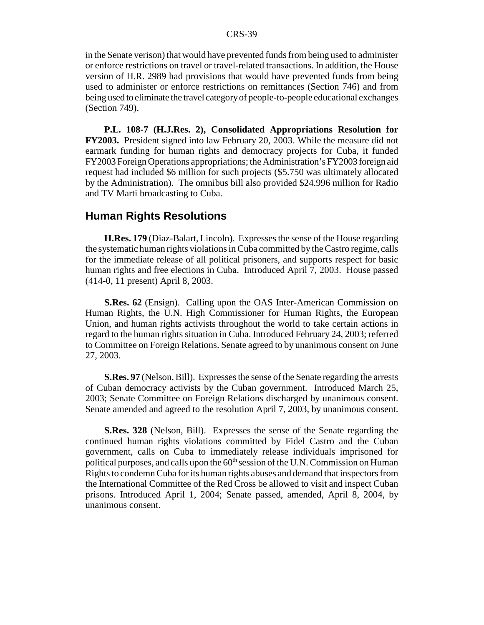in the Senate verison) that would have prevented funds from being used to administer or enforce restrictions on travel or travel-related transactions. In addition, the House version of H.R. 2989 had provisions that would have prevented funds from being used to administer or enforce restrictions on remittances (Section 746) and from being used to eliminate the travel category of people-to-people educational exchanges (Section 749).

**P.L. 108-7 (H.J.Res. 2), Consolidated Appropriations Resolution for FY2003.** President signed into law February 20, 2003. While the measure did not earmark funding for human rights and democracy projects for Cuba, it funded FY2003 Foreign Operations appropriations; the Administration's FY2003 foreign aid request had included \$6 million for such projects (\$5.750 was ultimately allocated by the Administration). The omnibus bill also provided \$24.996 million for Radio and TV Marti broadcasting to Cuba.

### **Human Rights Resolutions**

**H.Res. 179** (Diaz-Balart, Lincoln). Expresses the sense of the House regarding the systematic human rights violations in Cuba committed by the Castro regime, calls for the immediate release of all political prisoners, and supports respect for basic human rights and free elections in Cuba. Introduced April 7, 2003. House passed (414-0, 11 present) April 8, 2003.

**S.Res. 62** (Ensign). Calling upon the OAS Inter-American Commission on Human Rights, the U.N. High Commissioner for Human Rights, the European Union, and human rights activists throughout the world to take certain actions in regard to the human rights situation in Cuba. Introduced February 24, 2003; referred to Committee on Foreign Relations. Senate agreed to by unanimous consent on June 27, 2003.

**S.Res. 97** (Nelson, Bill). Expresses the sense of the Senate regarding the arrests of Cuban democracy activists by the Cuban government. Introduced March 25, 2003; Senate Committee on Foreign Relations discharged by unanimous consent. Senate amended and agreed to the resolution April 7, 2003, by unanimous consent.

**S.Res. 328** (Nelson, Bill). Expresses the sense of the Senate regarding the continued human rights violations committed by Fidel Castro and the Cuban government, calls on Cuba to immediately release individuals imprisoned for political purposes, and calls upon the  $60<sup>th</sup>$  session of the U.N. Commission on Human Rights to condemn Cuba for its human rights abuses and demand that inspectors from the International Committee of the Red Cross be allowed to visit and inspect Cuban prisons. Introduced April 1, 2004; Senate passed, amended, April 8, 2004, by unanimous consent.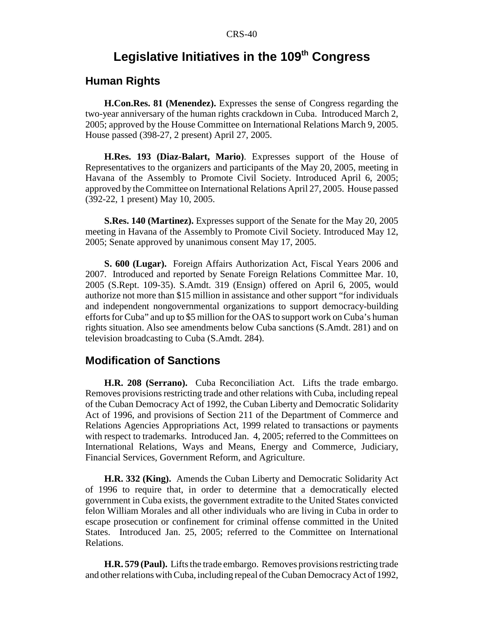# Legislative Initiatives in the 109<sup>th</sup> Congress

### **Human Rights**

**H.Con.Res. 81 (Menendez).** Expresses the sense of Congress regarding the two-year anniversary of the human rights crackdown in Cuba. Introduced March 2, 2005; approved by the House Committee on International Relations March 9, 2005. House passed (398-27, 2 present) April 27, 2005.

**H.Res. 193 (Diaz-Balart, Mario)**. Expresses support of the House of Representatives to the organizers and participants of the May 20, 2005, meeting in Havana of the Assembly to Promote Civil Society. Introduced April 6, 2005; approved by the Committee on International Relations April 27, 2005. House passed (392-22, 1 present) May 10, 2005.

**S.Res. 140 (Martinez).** Expresses support of the Senate for the May 20, 2005 meeting in Havana of the Assembly to Promote Civil Society. Introduced May 12, 2005; Senate approved by unanimous consent May 17, 2005.

**S. 600 (Lugar).** Foreign Affairs Authorization Act, Fiscal Years 2006 and 2007. Introduced and reported by Senate Foreign Relations Committee Mar. 10, 2005 (S.Rept. 109-35). S.Amdt. 319 (Ensign) offered on April 6, 2005, would authorize not more than \$15 million in assistance and other support "for individuals and independent nongovernmental organizations to support democracy-building efforts for Cuba" and up to \$5 million for the OAS to support work on Cuba's human rights situation. Also see amendments below Cuba sanctions (S.Amdt. 281) and on television broadcasting to Cuba (S.Amdt. 284).

### **Modification of Sanctions**

**H.R. 208 (Serrano).** Cuba Reconciliation Act. Lifts the trade embargo. Removes provisions restricting trade and other relations with Cuba, including repeal of the Cuban Democracy Act of 1992, the Cuban Liberty and Democratic Solidarity Act of 1996, and provisions of Section 211 of the Department of Commerce and Relations Agencies Appropriations Act, 1999 related to transactions or payments with respect to trademarks. Introduced Jan. 4, 2005; referred to the Committees on International Relations, Ways and Means, Energy and Commerce, Judiciary, Financial Services, Government Reform, and Agriculture.

**H.R. 332 (King).** Amends the Cuban Liberty and Democratic Solidarity Act of 1996 to require that, in order to determine that a democratically elected government in Cuba exists, the government extradite to the United States convicted felon William Morales and all other individuals who are living in Cuba in order to escape prosecution or confinement for criminal offense committed in the United States. Introduced Jan. 25, 2005; referred to the Committee on International Relations.

**H.R. 579 (Paul).** Lifts the trade embargo. Removes provisions restricting trade and other relations with Cuba, including repeal of the Cuban Democracy Act of 1992,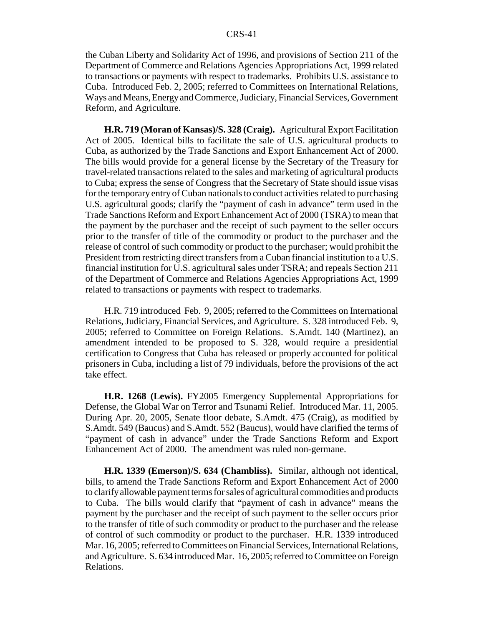the Cuban Liberty and Solidarity Act of 1996, and provisions of Section 211 of the Department of Commerce and Relations Agencies Appropriations Act, 1999 related to transactions or payments with respect to trademarks. Prohibits U.S. assistance to Cuba. Introduced Feb. 2, 2005; referred to Committees on International Relations, Ways and Means, Energy and Commerce, Judiciary, Financial Services, Government Reform, and Agriculture.

**H.R. 719 (Moran of Kansas)/S. 328 (Craig).** Agricultural Export Facilitation Act of 2005. Identical bills to facilitate the sale of U.S. agricultural products to Cuba, as authorized by the Trade Sanctions and Export Enhancement Act of 2000. The bills would provide for a general license by the Secretary of the Treasury for travel-related transactions related to the sales and marketing of agricultural products to Cuba; express the sense of Congress that the Secretary of State should issue visas for the temporary entry of Cuban nationals to conduct activities related to purchasing U.S. agricultural goods; clarify the "payment of cash in advance" term used in the Trade Sanctions Reform and Export Enhancement Act of 2000 (TSRA) to mean that the payment by the purchaser and the receipt of such payment to the seller occurs prior to the transfer of title of the commodity or product to the purchaser and the release of control of such commodity or product to the purchaser; would prohibit the President from restricting direct transfers from a Cuban financial institution to a U.S. financial institution for U.S. agricultural sales under TSRA; and repeals Section 211 of the Department of Commerce and Relations Agencies Appropriations Act, 1999 related to transactions or payments with respect to trademarks.

H.R. 719 introduced Feb. 9, 2005; referred to the Committees on International Relations, Judiciary, Financial Services, and Agriculture. S. 328 introduced Feb. 9, 2005; referred to Committee on Foreign Relations. S.Amdt. 140 (Martinez), an amendment intended to be proposed to S. 328, would require a presidential certification to Congress that Cuba has released or properly accounted for political prisoners in Cuba, including a list of 79 individuals, before the provisions of the act take effect.

**H.R. 1268 (Lewis).** FY2005 Emergency Supplemental Appropriations for Defense, the Global War on Terror and Tsunami Relief. Introduced Mar. 11, 2005. During Apr. 20, 2005, Senate floor debate, S.Amdt. 475 (Craig), as modified by S.Amdt. 549 (Baucus) and S.Amdt. 552 (Baucus), would have clarified the terms of "payment of cash in advance" under the Trade Sanctions Reform and Export Enhancement Act of 2000. The amendment was ruled non-germane.

**H.R. 1339 (Emerson)/S. 634 (Chambliss).** Similar, although not identical, bills, to amend the Trade Sanctions Reform and Export Enhancement Act of 2000 to clarify allowable payment terms for sales of agricultural commodities and products to Cuba. The bills would clarify that "payment of cash in advance" means the payment by the purchaser and the receipt of such payment to the seller occurs prior to the transfer of title of such commodity or product to the purchaser and the release of control of such commodity or product to the purchaser. H.R. 1339 introduced Mar. 16, 2005; referred to Committees on Financial Services, International Relations, and Agriculture. S. 634 introduced Mar. 16, 2005; referred to Committee on Foreign Relations.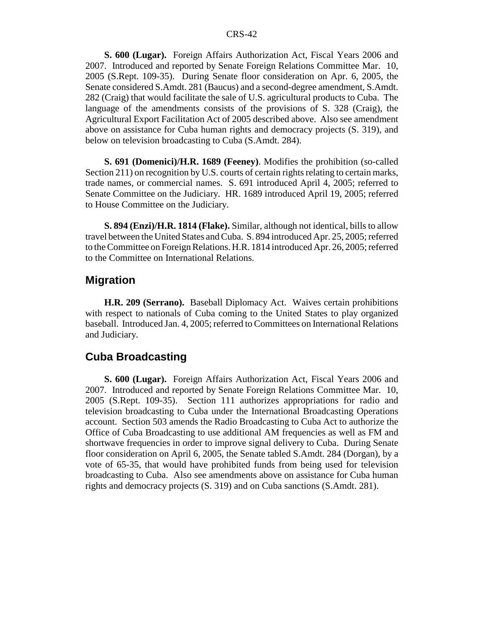**S. 600 (Lugar).** Foreign Affairs Authorization Act, Fiscal Years 2006 and 2007. Introduced and reported by Senate Foreign Relations Committee Mar. 10, 2005 (S.Rept. 109-35). During Senate floor consideration on Apr. 6, 2005, the Senate considered S.Amdt. 281 (Baucus) and a second-degree amendment, S.Amdt. 282 (Craig) that would facilitate the sale of U.S. agricultural products to Cuba. The language of the amendments consists of the provisions of S. 328 (Craig), the Agricultural Export Facilitation Act of 2005 described above. Also see amendment above on assistance for Cuba human rights and democracy projects (S. 319), and below on television broadcasting to Cuba (S.Amdt. 284).

**S. 691 (Domenici)/H.R. 1689 (Feeney)**. Modifies the prohibition (so-called Section 211) on recognition by U.S. courts of certain rights relating to certain marks, trade names, or commercial names. S. 691 introduced April 4, 2005; referred to Senate Committee on the Judiciary. HR. 1689 introduced April 19, 2005; referred to House Committee on the Judiciary.

**S. 894 (Enzi)/H.R. 1814 (Flake).** Similar, although not identical, bills to allow travel between the United States and Cuba. S. 894 introduced Apr. 25, 2005; referred to the Committee on Foreign Relations. H.R. 1814 introduced Apr. 26, 2005; referred to the Committee on International Relations.

#### **Migration**

**H.R. 209 (Serrano).** Baseball Diplomacy Act. Waives certain prohibitions with respect to nationals of Cuba coming to the United States to play organized baseball. Introduced Jan. 4, 2005; referred to Committees on International Relations and Judiciary.

# **Cuba Broadcasting**

**S. 600 (Lugar).** Foreign Affairs Authorization Act, Fiscal Years 2006 and 2007. Introduced and reported by Senate Foreign Relations Committee Mar. 10, 2005 (S.Rept. 109-35). Section 111 authorizes appropriations for radio and television broadcasting to Cuba under the International Broadcasting Operations account. Section 503 amends the Radio Broadcasting to Cuba Act to authorize the Office of Cuba Broadcasting to use additional AM frequencies as well as FM and shortwave frequencies in order to improve signal delivery to Cuba. During Senate floor consideration on April 6, 2005, the Senate tabled S.Amdt. 284 (Dorgan), by a vote of 65-35, that would have prohibited funds from being used for television broadcasting to Cuba. Also see amendments above on assistance for Cuba human rights and democracy projects (S. 319) and on Cuba sanctions (S.Amdt. 281).